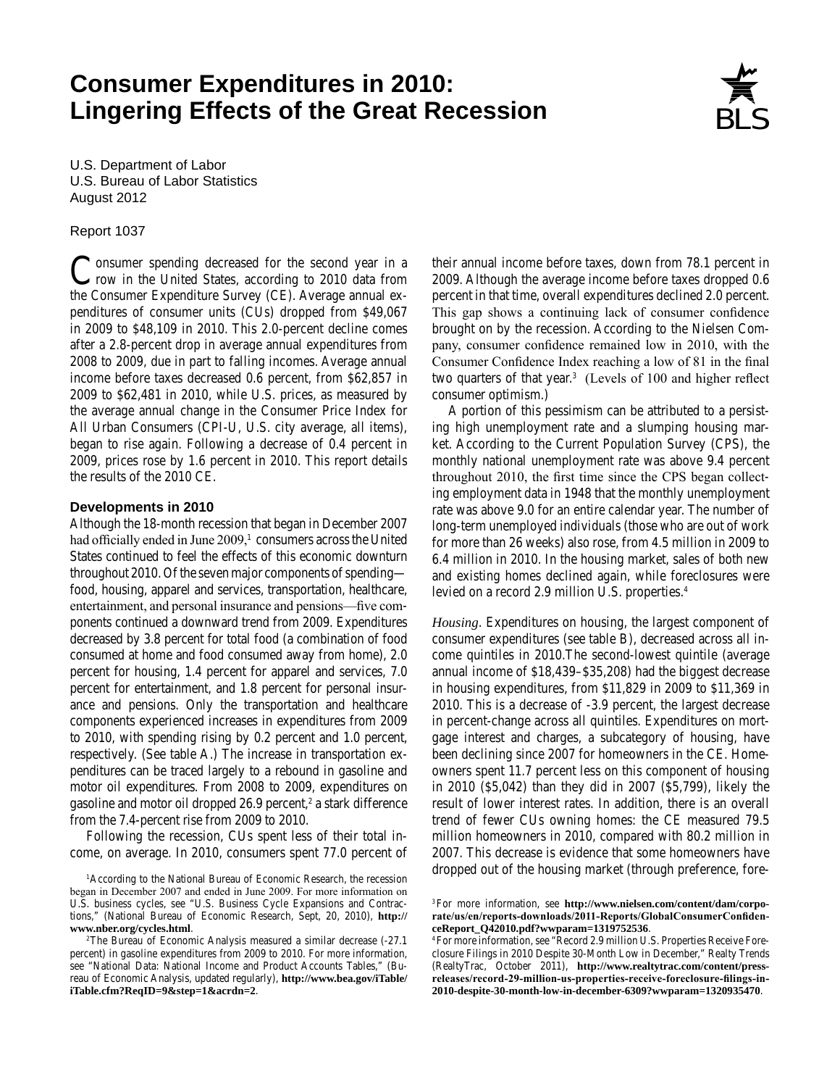# **Consumer Expenditures in 2010: Lingering Effects of the Great Recession**



U.S. Department of Labor U.S. Bureau of Labor Statistics August 2012

### Report 1037

Consumer spending decreased for the second year in a row in the United States, according to 2010 data from the Consumer Expenditure Survey (CE). Average annual expenditures of consumer units (CUs) dropped from \$49,067 in 2009 to \$48,109 in 2010. This 2.0-percent decline comes after a 2.8-percent drop in average annual expenditures from 2008 to 2009, due in part to falling incomes. Average annual income before taxes decreased 0.6 percent, from \$62,857 in 2009 to \$62,481 in 2010, while U.S. prices, as measured by the average annual change in the Consumer Price Index for All Urban Consumers (CPI-U, U.S. city average, all items), began to rise again. Following a decrease of 0.4 percent in 2009, prices rose by 1.6 percent in 2010. This report details the results of the 2010 CE.

### **Developments in 2010**

Although the 18-month recession that began in December 2007 had officially ended in June 2009,<sup>1</sup> consumers across the United States continued to feel the effects of this economic downturn throughout 2010. Of the seven major components of spending food, housing, apparel and services, transportation, healthcare, entertainment, and personal insurance and pensions—five components continued a downward trend from 2009. Expenditures decreased by 3.8 percent for total food (a combination of food consumed at home and food consumed away from home), 2.0 percent for housing, 1.4 percent for apparel and services, 7.0 percent for entertainment, and 1.8 percent for personal insurance and pensions. Only the transportation and healthcare components experienced increases in expenditures from 2009 to 2010, with spending rising by 0.2 percent and 1.0 percent, respectively. (See table A.) The increase in transportation expenditures can be traced largely to a rebound in gasoline and motor oil expenditures. From 2008 to 2009, expenditures on gasoline and motor oil dropped 26.9 percent,<sup>2</sup> a stark difference from the 7.4-percent rise from 2009 to 2010.

Following the recession, CUs spent less of their total income, on average. In 2010, consumers spent 77.0 percent of their annual income before taxes, down from 78.1 percent in 2009. Although the average income before taxes dropped 0.6 percent in that time, overall expenditures declined 2.0 percent. This gap shows a continuing lack of consumer confidence brought on by the recession. According to the Nielsen Company, consumer confidence remained low in 2010, with the Consumer Confidence Index reaching a low of 81 in the final two quarters of that year.<sup>3</sup> (Levels of 100 and higher reflect consumer optimism.)

A portion of this pessimism can be attributed to a persisting high unemployment rate and a slumping housing market. According to the Current Population Survey (CPS), the monthly national unemployment rate was above 9.4 percent throughout 2010, the first time since the CPS began collecting employment data in 1948 that the monthly unemployment rate was above 9.0 for an entire calendar year. The number of long-term unemployed individuals (those who are out of work for more than 26 weeks) also rose, from 4.5 million in 2009 to 6.4 million in 2010. In the housing market, sales of both new and existing homes declined again, while foreclosures were levied on a record 2.9 million U.S. properties.4

*Housing*. Expenditures on housing, the largest component of consumer expenditures (see table B), decreased across all income quintiles in 2010.The second-lowest quintile (average annual income of \$18,439–\$35,208) had the biggest decrease in housing expenditures, from \$11,829 in 2009 to \$11,369 in 2010. This is a decrease of -3.9 percent, the largest decrease in percent-change across all quintiles. Expenditures on mortgage interest and charges, a subcategory of housing, have been declining since 2007 for homeowners in the CE. Homeowners spent 11.7 percent less on this component of housing in 2010 (\$5,042) than they did in 2007 (\$5,799), likely the result of lower interest rates. In addition, there is an overall trend of fewer CUs owning homes: the CE measured 79.5 million homeowners in 2010, compared with 80.2 million in 2007. This decrease is evidence that some homeowners have dropped out of the housing market (through preference, fore-

<sup>&</sup>lt;sup>1</sup> According to the National Bureau of Economic Research, the recession began in December 2007 and ended in June 2009. For more information on U.S. business cycles, see "U.S. Business Cycle Expansions and Contractions," (National Bureau of Economic Research, Sept, 20, 2010), **http:// www.nber.org/cycles.html**.

<sup>2</sup>The Bureau of Economic Analysis measured a similar decrease (-27.1 percent) in gasoline expenditures from 2009 to 2010. For more information, see "National Data: National Income and Product Accounts Tables," (Bureau of Economic Analysis, updated regularly), **[http://www.bea.gov/iTable/](http://www.bea.gov/iTable/iTable.cfm?ReqID=9&step=1&acrdn=2) [iTable.cfm?ReqID=9&step=1&acrdn=2](http://www.bea.gov/iTable/iTable.cfm?ReqID=9&step=1&acrdn=2)**.

<sup>3</sup>For more information, see **[http://www.nielsen.com/content/dam/corpo](http://www.nielsen.com/content/dam/corporate/us/en/reports-downloads/2011-Reports/GlobalConsumerConfidenceReport_Q42010.pdf?wwparam=1319752536)[rate/us/en/reports-downloads/2011-Reports/GlobalConsumerConfiden](http://www.nielsen.com/content/dam/corporate/us/en/reports-downloads/2011-Reports/GlobalConsumerConfidenceReport_Q42010.pdf?wwparam=1319752536)[ceReport\\_Q42010.pdf?wwparam=1319752536](http://www.nielsen.com/content/dam/corporate/us/en/reports-downloads/2011-Reports/GlobalConsumerConfidenceReport_Q42010.pdf?wwparam=1319752536)**.

<sup>4</sup>For more information, see "Record 2.9 million U.S. Properties Receive Foreclosure Filings in 2010 Despite 30-Month Low in December," Realty Trends (RealtyTrac, October 2011), **http://www.realtytrac.com/content/pressreleases/record-29-million-us-properties-receive-foreclosure-filings-in-2010-despite-30-month-low-in-december-6309?wwparam=1320935470**.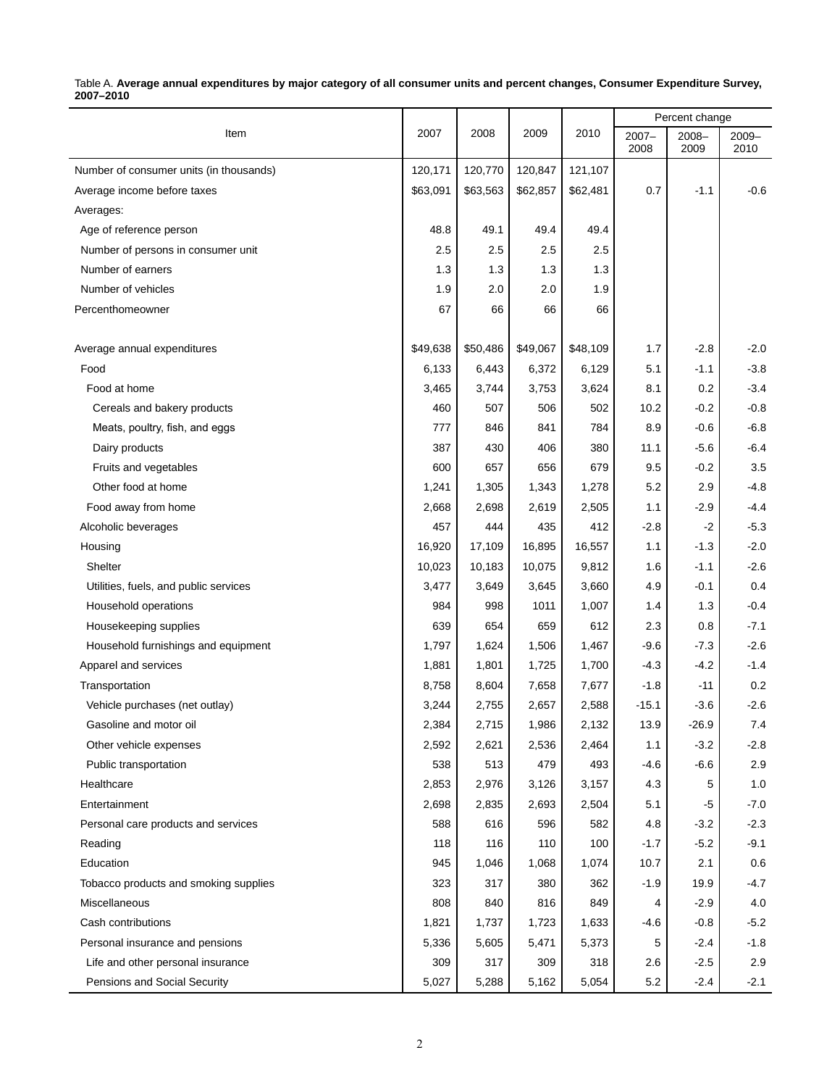|                                         |          |          |          |          |                  | Percent change |                  |
|-----------------------------------------|----------|----------|----------|----------|------------------|----------------|------------------|
| Item                                    | 2007     | 2008     | 2009     | 2010     | $2007 -$<br>2008 | 2008-<br>2009  | $2009 -$<br>2010 |
| Number of consumer units (in thousands) | 120,171  | 120,770  | 120,847  | 121,107  |                  |                |                  |
| Average income before taxes             | \$63,091 | \$63,563 | \$62,857 | \$62,481 | 0.7              | $-1.1$         | $-0.6$           |
| Averages:                               |          |          |          |          |                  |                |                  |
| Age of reference person                 | 48.8     | 49.1     | 49.4     | 49.4     |                  |                |                  |
| Number of persons in consumer unit      | 2.5      | 2.5      | 2.5      | 2.5      |                  |                |                  |
| Number of earners                       | 1.3      | 1.3      | 1.3      | 1.3      |                  |                |                  |
| Number of vehicles                      | 1.9      | 2.0      | 2.0      | 1.9      |                  |                |                  |
| Percenthomeowner                        | 67       | 66       | 66       | 66       |                  |                |                  |
| Average annual expenditures             | \$49,638 | \$50,486 | \$49,067 | \$48,109 | 1.7              | $-2.8$         | $-2.0$           |
| Food                                    | 6,133    | 6,443    | 6,372    | 6,129    | 5.1              | $-1.1$         | $-3.8$           |
| Food at home                            | 3,465    | 3,744    | 3,753    | 3,624    | 8.1              | 0.2            | $-3.4$           |
| Cereals and bakery products             | 460      | 507      | 506      | 502      | 10.2             | $-0.2$         | $-0.8$           |
| Meats, poultry, fish, and eggs          | 777      | 846      | 841      | 784      | 8.9              | $-0.6$         | $-6.8$           |
| Dairy products                          | 387      | 430      | 406      | 380      | 11.1             | $-5.6$         | $-6.4$           |
| Fruits and vegetables                   | 600      | 657      | 656      | 679      | 9.5              | $-0.2$         | 3.5              |
| Other food at home                      | 1,241    | 1,305    | 1,343    | 1,278    | 5.2              | 2.9            | $-4.8$           |
| Food away from home                     | 2,668    | 2,698    | 2,619    | 2,505    | 1.1              | $-2.9$         | $-4.4$           |
| Alcoholic beverages                     | 457      | 444      | 435      | 412      | $-2.8$           | $-2$           | $-5.3$           |
| Housing                                 | 16,920   | 17,109   | 16,895   | 16,557   | 1.1              | $-1.3$         | $-2.0$           |
| Shelter                                 | 10,023   | 10,183   | 10,075   | 9,812    | 1.6              | $-1.1$         | $-2.6$           |
| Utilities, fuels, and public services   | 3,477    | 3,649    | 3,645    | 3,660    | 4.9              | $-0.1$         | 0.4              |
| Household operations                    | 984      | 998      | 1011     | 1,007    | 1.4              | 1.3            | $-0.4$           |
| Housekeeping supplies                   | 639      | 654      | 659      | 612      | 2.3              | 0.8            | $-7.1$           |
| Household furnishings and equipment     | 1,797    | 1,624    | 1,506    | 1,467    | -9.6             | $-7.3$         | $-2.6$           |
| Apparel and services                    | 1,881    | 1,801    | 1,725    | 1,700    | $-4.3$           | $-4.2$         | $-1.4$           |
| Transportation                          | 8,758    | 8,604    | 7,658    | 7,677    | $-1.8$           | $-11$          | 0.2              |
| Vehicle purchases (net outlay)          | 3,244    | 2,755    | 2,657    | 2,588    | $-15.1$          | $-3.6$         | $-2.6$           |
| Gasoline and motor oil                  | 2,384    | 2,715    | 1,986    | 2,132    | 13.9             | $-26.9$        | 7.4              |
| Other vehicle expenses                  | 2,592    | 2,621    | 2,536    | 2,464    | 1.1              | $-3.2$         | $-2.8$           |
| Public transportation                   | 538      | 513      | 479      | 493      | -4.6             | $-6.6$         | 2.9              |
| Healthcare                              | 2,853    | 2,976    | 3,126    | 3,157    | 4.3              | 5              | 1.0              |
| Entertainment                           | 2,698    | 2,835    | 2,693    | 2,504    | 5.1              | -5             | $-7.0$           |
| Personal care products and services     | 588      | 616      | 596      | 582      | 4.8              | $-3.2$         | $-2.3$           |
| Reading                                 | 118      | 116      | 110      | 100      | $-1.7$           | $-5.2$         | $-9.1$           |
| Education                               | 945      | 1,046    | 1,068    | 1,074    | 10.7             | 2.1            | 0.6              |
| Tobacco products and smoking supplies   | 323      | 317      | 380      | 362      | $-1.9$           | 19.9           | $-4.7$           |
| Miscellaneous                           | 808      | 840      | 816      | 849      | 4                | $-2.9$         | 4.0              |
| Cash contributions                      | 1,821    | 1,737    | 1,723    | 1,633    | -4.6             | $-0.8$         | $-5.2$           |
| Personal insurance and pensions         | 5,336    | 5,605    | 5,471    | 5,373    | 5                | $-2.4$         | $-1.8$           |
| Life and other personal insurance       | 309      | 317      | 309      | 318      | 2.6              | $-2.5$         | 2.9              |
| Pensions and Social Security            | 5,027    | 5,288    | 5,162    | 5,054    | $5.2\,$          | $-2.4$         | $-2.1$           |

#### Table A. **Average annual expenditures by major category of all consumer units and percent changes, Consumer Expenditure Survey, 2007–2010**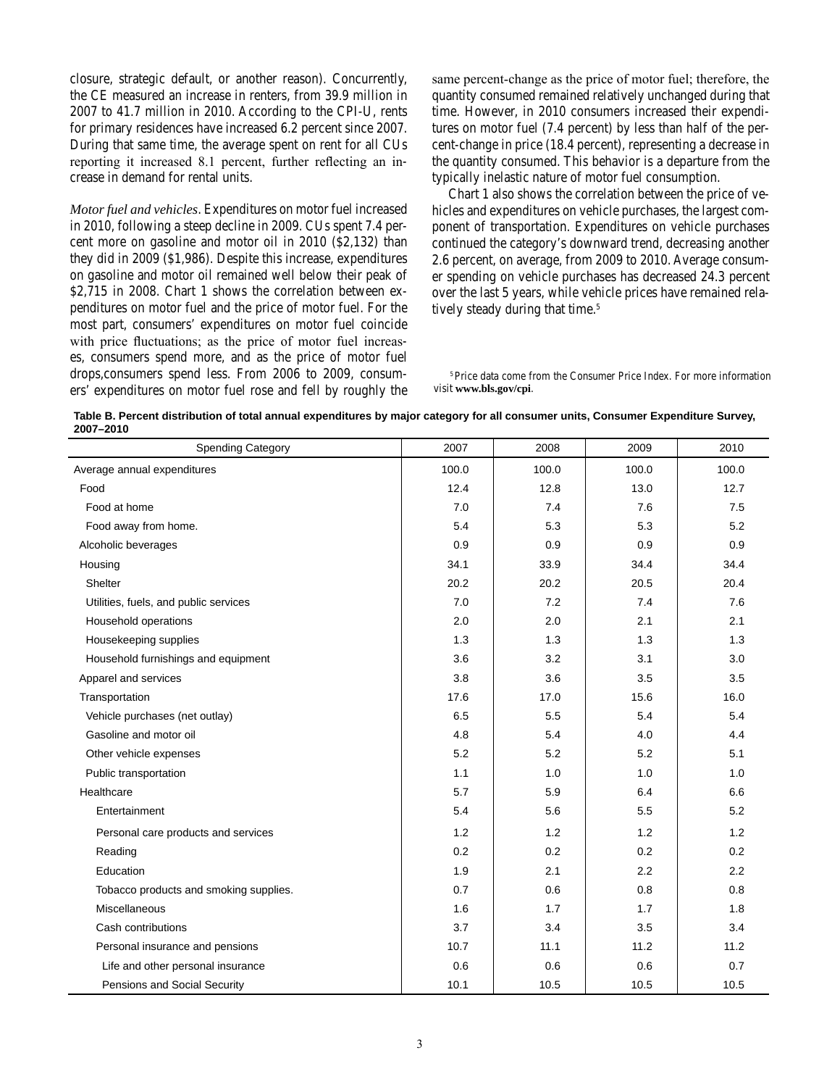closure, strategic default, or another reason). Concurrently, the CE measured an increase in renters, from 39.9 million in 2007 to 41.7 million in 2010. According to the CPI-U, rents for primary residences have increased 6.2 percent since 2007. During that same time, the average spent on rent for all CUs reporting it increased 8.1 percent, further reflecting an increase in demand for rental units.

*Motor fuel and vehicles*. Expenditures on motor fuel increased in 2010, following a steep decline in 2009. CUs spent 7.4 percent more on gasoline and motor oil in 2010 (\$2,132) than they did in 2009 (\$1,986). Despite this increase, expenditures on gasoline and motor oil remained well below their peak of \$2,715 in 2008. Chart 1 shows the correlation between expenditures on motor fuel and the price of motor fuel. For the most part, consumers' expenditures on motor fuel coincide with price fluctuations; as the price of motor fuel increases, consumers spend more, and as the price of motor fuel drops,consumers spend less. From 2006 to 2009, consumers' expenditures on motor fuel rose and fell by roughly the same percent-change as the price of motor fuel; therefore, the quantity consumed remained relatively unchanged during that time. However, in 2010 consumers increased their expenditures on motor fuel (7.4 percent) by less than half of the percent-change in price (18.4 percent), representing a decrease in the quantity consumed. This behavior is a departure from the typically inelastic nature of motor fuel consumption.

Chart 1 also shows the correlation between the price of vehicles and expenditures on vehicle purchases, the largest component of transportation. Expenditures on vehicle purchases continued the category's downward trend, decreasing another 2.6 percent, on average, from 2009 to 2010. Average consumer spending on vehicle purchases has decreased 24.3 percent over the last 5 years, while vehicle prices have remained relatively steady during that time.<sup>5</sup>

<sup>5</sup>Price data come from the Consumer Price Index. For more information visit **www.bls.gov/cpi**.

| Table B. Percent distribution of total annual expenditures by major category for all consumer units, Consumer Expenditure Survey, |
|-----------------------------------------------------------------------------------------------------------------------------------|
| 2007-2010                                                                                                                         |

| <b>Spending Category</b>               | 2007  | 2008  | 2009  | 2010  |
|----------------------------------------|-------|-------|-------|-------|
| Average annual expenditures            | 100.0 | 100.0 | 100.0 | 100.0 |
| Food                                   | 12.4  | 12.8  | 13.0  | 12.7  |
| Food at home                           | 7.0   | 7.4   | 7.6   | 7.5   |
| Food away from home.                   | 5.4   | 5.3   | 5.3   | 5.2   |
| Alcoholic beverages                    | 0.9   | 0.9   | 0.9   | 0.9   |
| Housing                                | 34.1  | 33.9  | 34.4  | 34.4  |
| Shelter                                | 20.2  | 20.2  | 20.5  | 20.4  |
| Utilities, fuels, and public services  | 7.0   | 7.2   | 7.4   | 7.6   |
| Household operations                   | 2.0   | 2.0   | 2.1   | 2.1   |
| Housekeeping supplies                  | 1.3   | 1.3   | 1.3   | 1.3   |
| Household furnishings and equipment    | 3.6   | 3.2   | 3.1   | 3.0   |
| Apparel and services                   | 3.8   | 3.6   | 3.5   | 3.5   |
| Transportation                         | 17.6  | 17.0  | 15.6  | 16.0  |
| Vehicle purchases (net outlay)         | 6.5   | 5.5   | 5.4   | 5.4   |
| Gasoline and motor oil                 | 4.8   | 5.4   | 4.0   | 4.4   |
| Other vehicle expenses                 | 5.2   | 5.2   | 5.2   | 5.1   |
| Public transportation                  | 1.1   | 1.0   | 1.0   | 1.0   |
| Healthcare                             | 5.7   | 5.9   | 6.4   | 6.6   |
| Entertainment                          | 5.4   | 5.6   | 5.5   | 5.2   |
| Personal care products and services    | 1.2   | 1.2   | 1.2   | 1.2   |
| Reading                                | 0.2   | 0.2   | 0.2   | 0.2   |
| Education                              | 1.9   | 2.1   | 2.2   | 2.2   |
| Tobacco products and smoking supplies. | 0.7   | 0.6   | 0.8   | 0.8   |
| Miscellaneous                          | 1.6   | 1.7   | 1.7   | 1.8   |
| Cash contributions                     | 3.7   | 3.4   | 3.5   | 3.4   |
| Personal insurance and pensions        | 10.7  | 11.1  | 11.2  | 11.2  |
| Life and other personal insurance      | 0.6   | 0.6   | 0.6   | 0.7   |
| Pensions and Social Security           | 10.1  | 10.5  | 10.5  | 10.5  |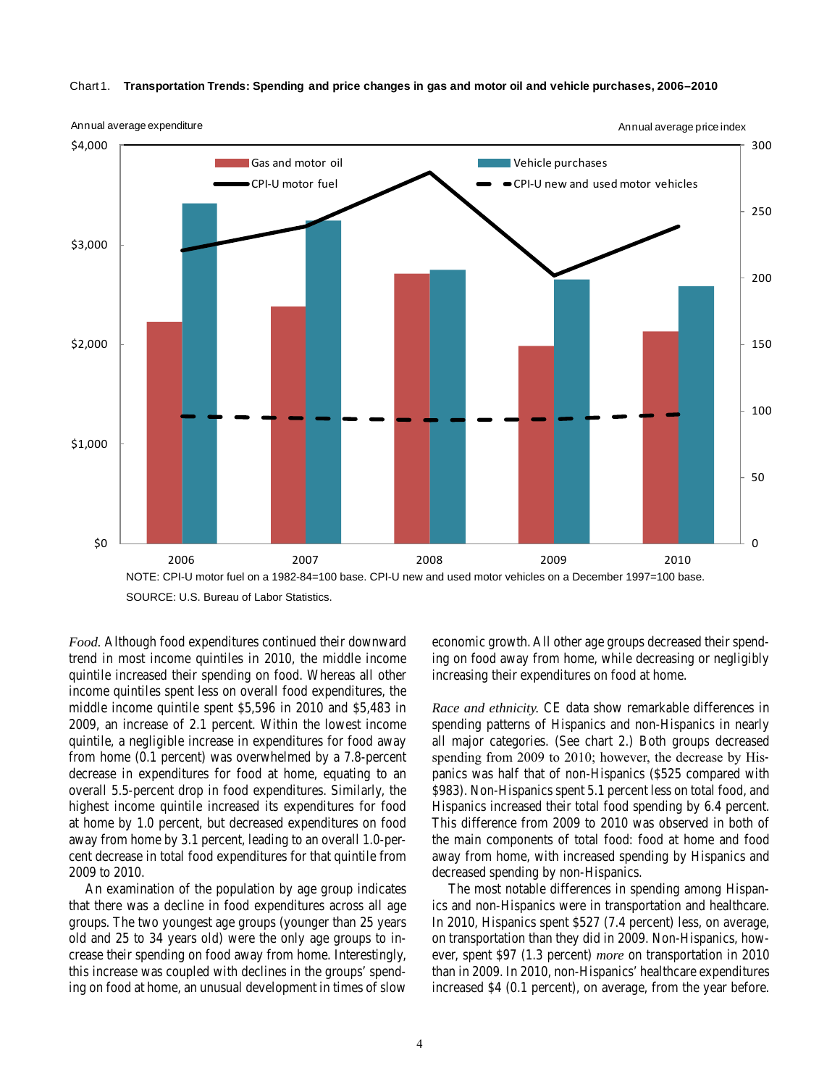

Chart 1. **Transportation Trends: Spending and price changes in gas and motor oil and vehicle purchases, 2006–2010**

*Food.* Although food expenditures continued their downward trend in most income quintiles in 2010, the middle income quintile increased their spending on food. Whereas all other income quintiles spent less on overall food expenditures, the middle income quintile spent \$5,596 in 2010 and \$5,483 in 2009, an increase of 2.1 percent. Within the lowest income quintile, a negligible increase in expenditures for food away from home (0.1 percent) was overwhelmed by a 7.8-percent decrease in expenditures for food at home, equating to an overall 5.5-percent drop in food expenditures. Similarly, the highest income quintile increased its expenditures for food at home by 1.0 percent, but decreased expenditures on food away from home by 3.1 percent, leading to an overall 1.0-percent decrease in total food expenditures for that quintile from 2009 to 2010.

An examination of the population by age group indicates that there was a decline in food expenditures across all age groups. The two youngest age groups (younger than 25 years old and 25 to 34 years old) were the only age groups to increase their spending on food away from home. Interestingly, this increase was coupled with declines in the groups' spending on food at home, an unusual development in times of slow

economic growth. All other age groups decreased their spending on food away from home, while decreasing or negligibly increasing their expenditures on food at home.

*Race and ethnicity.* CE data show remarkable differences in spending patterns of Hispanics and non-Hispanics in nearly all major categories. (See chart 2.) Both groups decreased spending from 2009 to 2010; however, the decrease by Hispanics was half that of non-Hispanics (\$525 compared with \$983). Non-Hispanics spent 5.1 percent less on total food, and Hispanics increased their total food spending by 6.4 percent. This difference from 2009 to 2010 was observed in both of the main components of total food: food at home and food away from home, with increased spending by Hispanics and decreased spending by non-Hispanics.

The most notable differences in spending among Hispanics and non-Hispanics were in transportation and healthcare. In 2010, Hispanics spent \$527 (7.4 percent) less, on average, on transportation than they did in 2009. Non-Hispanics, however, spent \$97 (1.3 percent) *more* on transportation in 2010 than in 2009. In 2010, non-Hispanics' healthcare expenditures increased \$4 (0.1 percent), on average, from the year before.

SOURCE: U.S. Bureau of Labor Statistics. SOURCE: U.S. Bureau of Labor Statistics.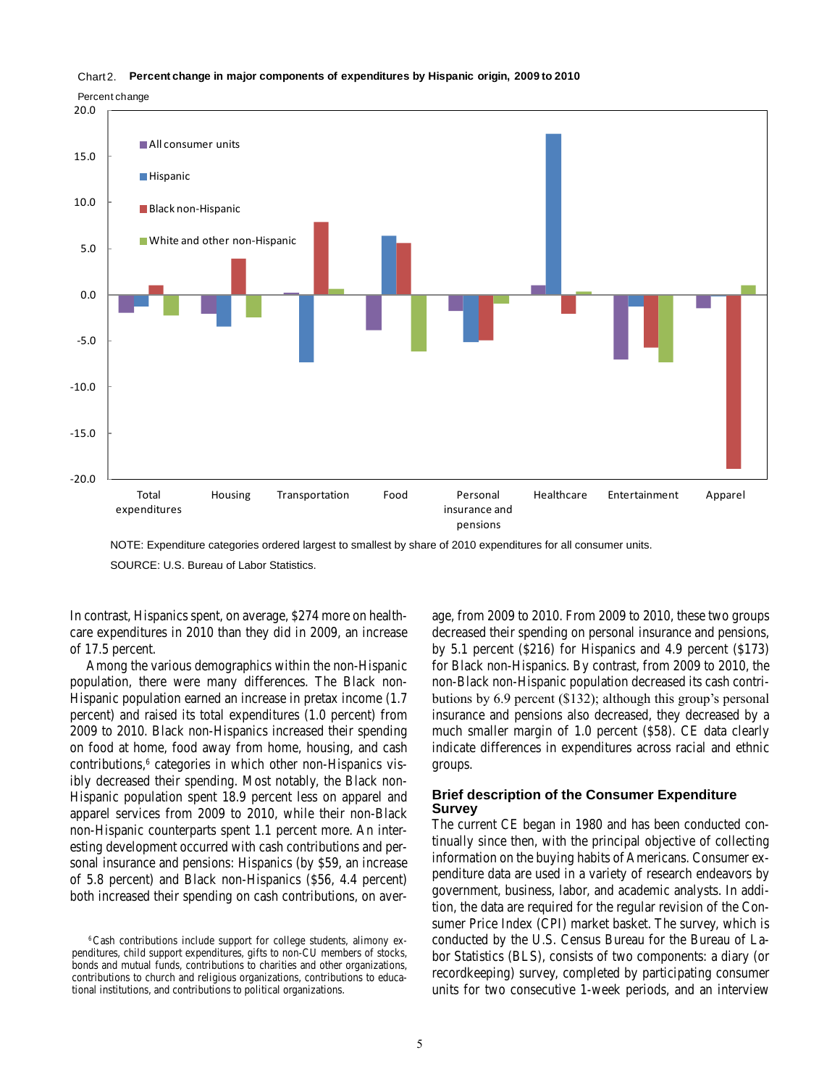#### Chart 2. **Percent change in major components of expenditures by Hispanic origin, 2009 to 2010**

Percent change



NOTE: Expenditure categories ordered largest to smallest by share of 2010 expenditures for all consumer units. NOTE: Expenditure categories ordered largest to smallest by share of 2010 expenditures for all consumer units.

SOURCE: U.S. Bureau of Labor Statistics. SOURCE: U.S. Bureau of Labor Statistics.

In contrast, Hispanics spent, on average, \$274 more on healthcare expenditures in 2010 than they did in 2009, an increase of 17.5 percent.

Among the various demographics within the non-Hispanic population, there were many differences. The Black non-Hispanic population earned an increase in pretax income (1.7 percent) and raised its total expenditures (1.0 percent) from 2009 to 2010. Black non-Hispanics increased their spending on food at home, food away from home, housing, and cash contributions,<sup>6</sup> categories in which other non-Hispanics visibly decreased their spending. Most notably, the Black non-Hispanic population spent 18.9 percent less on apparel and apparel services from 2009 to 2010, while their non-Black non-Hispanic counterparts spent 1.1 percent more. An interesting development occurred with cash contributions and personal insurance and pensions: Hispanics (by \$59, an increase of 5.8 percent) and Black non-Hispanics (\$56, 4.4 percent) both increased their spending on cash contributions, on average, from 2009 to 2010. From 2009 to 2010, these two groups decreased their spending on personal insurance and pensions, by 5.1 percent (\$216) for Hispanics and 4.9 percent (\$173) for Black non-Hispanics. By contrast, from 2009 to 2010, the non-Black non-Hispanic population decreased its cash contributions by 6.9 percent (\$132); although this group's personal insurance and pensions also decreased, they decreased by a much smaller margin of 1.0 percent (\$58). CE data clearly indicate differences in expenditures across racial and ethnic groups.

### **Brief description of the Consumer Expenditure Survey**

The current CE began in 1980 and has been conducted continually since then, with the principal objective of collecting information on the buying habits of Americans. Consumer expenditure data are used in a variety of research endeavors by government, business, labor, and academic analysts. In addition, the data are required for the regular revision of the Consumer Price Index (CPI) market basket. The survey, which is conducted by the U.S. Census Bureau for the Bureau of Labor Statistics (BLS), consists of two components: a diary (or recordkeeping) survey, completed by participating consumer units for two consecutive 1-week periods, and an interview

<sup>6</sup>Cash contributions include support for college students, alimony expenditures, child support expenditures, gifts to non-CU members of stocks, bonds and mutual funds, contributions to charities and other organizations, contributions to church and religious organizations, contributions to educational institutions, and contributions to political organizations.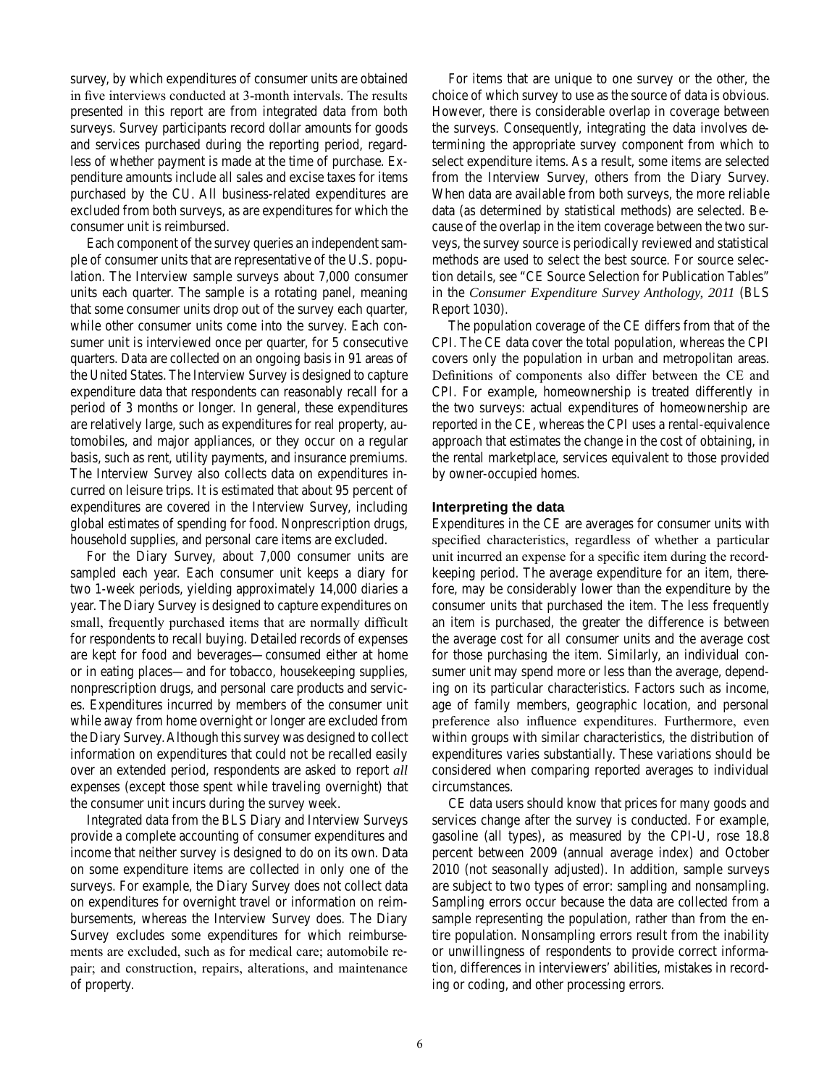survey, by which expenditures of consumer units are obtained in five interviews conducted at 3-month intervals. The results presented in this report are from integrated data from both surveys. Survey participants record dollar amounts for goods and services purchased during the reporting period, regardless of whether payment is made at the time of purchase. Expenditure amounts include all sales and excise taxes for items purchased by the CU. All business-related expenditures are excluded from both surveys, as are expenditures for which the consumer unit is reimbursed.

Each component of the survey queries an independent sample of consumer units that are representative of the U.S. population. The Interview sample surveys about 7,000 consumer units each quarter. The sample is a rotating panel, meaning that some consumer units drop out of the survey each quarter, while other consumer units come into the survey. Each consumer unit is interviewed once per quarter, for 5 consecutive quarters. Data are collected on an ongoing basis in 91 areas of the United States. The Interview Survey is designed to capture expenditure data that respondents can reasonably recall for a period of 3 months or longer. In general, these expenditures are relatively large, such as expenditures for real property, automobiles, and major appliances, or they occur on a regular basis, such as rent, utility payments, and insurance premiums. The Interview Survey also collects data on expenditures incurred on leisure trips. It is estimated that about 95 percent of expenditures are covered in the Interview Survey, including global estimates of spending for food. Nonprescription drugs, household supplies, and personal care items are excluded.

For the Diary Survey, about 7,000 consumer units are sampled each year. Each consumer unit keeps a diary for two 1-week periods, yielding approximately 14,000 diaries a year. The Diary Survey is designed to capture expenditures on small, frequently purchased items that are normally difficult for respondents to recall buying. Detailed records of expenses are kept for food and beverages—consumed either at home or in eating places—and for tobacco, housekeeping supplies, nonprescription drugs, and personal care products and services. Expenditures incurred by members of the consumer unit while away from home overnight or longer are excluded from the Diary Survey. Although this survey was designed to collect information on expenditures that could not be recalled easily over an extended period, respondents are asked to report *all*  expenses (except those spent while traveling overnight) that the consumer unit incurs during the survey week.

Integrated data from the BLS Diary and Interview Surveys provide a complete accounting of consumer expenditures and income that neither survey is designed to do on its own. Data on some expenditure items are collected in only one of the surveys. For example, the Diary Survey does not collect data on expenditures for overnight travel or information on reimbursements, whereas the Interview Survey does. The Diary Survey excludes some expenditures for which reimbursements are excluded, such as for medical care; automobile repair; and construction, repairs, alterations, and maintenance of property.

For items that are unique to one survey or the other, the choice of which survey to use as the source of data is obvious. However, there is considerable overlap in coverage between the surveys. Consequently, integrating the data involves determining the appropriate survey component from which to select expenditure items. As a result, some items are selected from the Interview Survey, others from the Diary Survey. When data are available from both surveys, the more reliable data (as determined by statistical methods) are selected. Because of the overlap in the item coverage between the two surveys, the survey source is periodically reviewed and statistical methods are used to select the best source. For source selection details, see "CE Source Selection for Publication Tables" in the *Consumer Expenditure Survey Anthology, 2011* (BLS Report 1030).

The population coverage of the CE differs from that of the CPI. The CE data cover the total population, whereas the CPI covers only the population in urban and metropolitan areas. Definitions of components also differ between the CE and CPI. For example, homeownership is treated differently in the two surveys: actual expenditures of homeownership are reported in the CE, whereas the CPI uses a rental-equivalence approach that estimates the change in the cost of obtaining, in the rental marketplace, services equivalent to those provided by owner-occupied homes.

### **Interpreting the data**

Expenditures in the CE are averages for consumer units with specified characteristics, regardless of whether a particular unit incurred an expense for a specific item during the recordkeeping period. The average expenditure for an item, therefore, may be considerably lower than the expenditure by the consumer units that purchased the item. The less frequently an item is purchased, the greater the difference is between the average cost for all consumer units and the average cost for those purchasing the item. Similarly, an individual consumer unit may spend more or less than the average, depending on its particular characteristics. Factors such as income, age of family members, geographic location, and personal preference also influence expenditures. Furthermore, even within groups with similar characteristics, the distribution of expenditures varies substantially. These variations should be considered when comparing reported averages to individual circumstances.

CE data users should know that prices for many goods and services change after the survey is conducted. For example, gasoline (all types), as measured by the CPI-U, rose 18.8 percent between 2009 (annual average index) and October 2010 (not seasonally adjusted). In addition, sample surveys are subject to two types of error: sampling and nonsampling. Sampling errors occur because the data are collected from a sample representing the population, rather than from the entire population. Nonsampling errors result from the inability or unwillingness of respondents to provide correct information, differences in interviewers' abilities, mistakes in recording or coding, and other processing errors.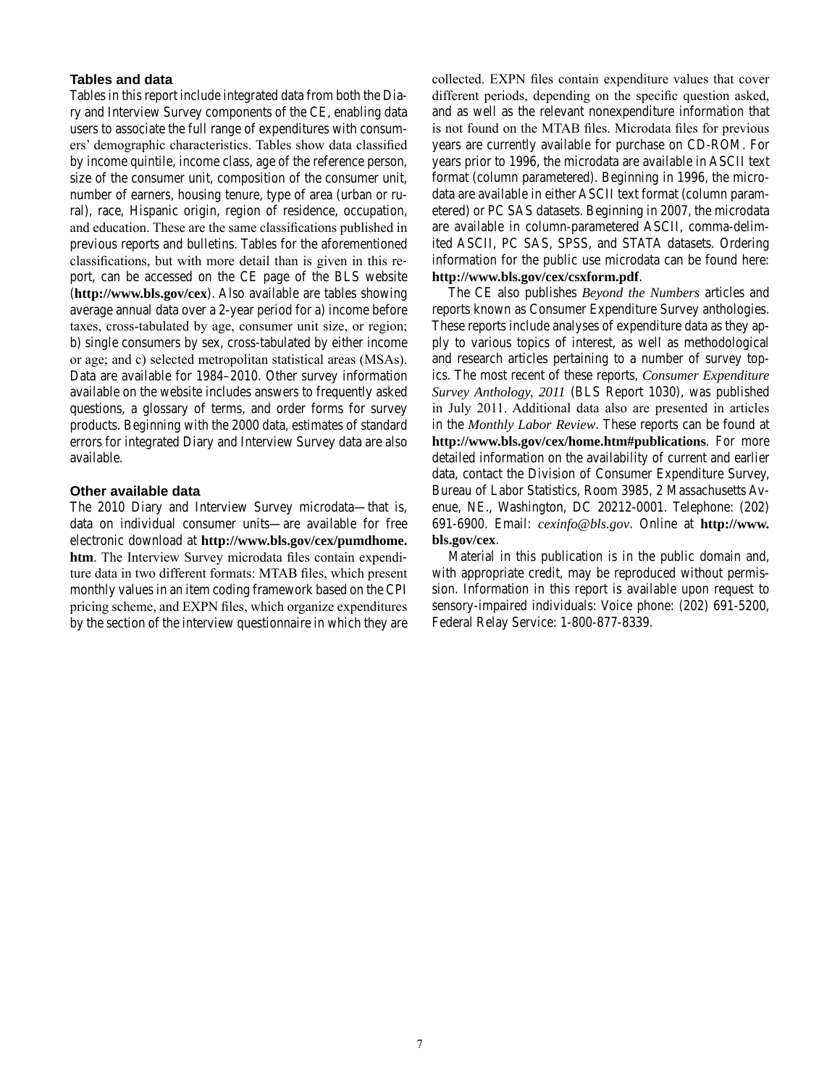### **Tables and data**

Tables in this report include integrated data from both the Diary and Interview Survey components of the CE, enabling data users to associate the full range of expenditures with consumers' demographic characteristics. Tables show data classified by income quintile, income class, age of the reference person, size of the consumer unit, composition of the consumer unit, number of earners, housing tenure, type of area (urban or rural), race, Hispanic origin, region of residence, occupation, and education. These are the same classifications published in previous reports and bulletins. Tables for the aforementioned classifications, but with more detail than is given in this report, can be accessed on the CE page of the BLS website (**http://www.bls.gov/cex**). Also available are tables showing average annual data over a 2-year period for a) income before taxes, cross-tabulated by age, consumer unit size, or region; b) single consumers by sex, cross-tabulated by either income or age; and c) selected metropolitan statistical areas (MSAs). Data are available for 1984–2010. Other survey information available on the website includes answers to frequently asked questions, a glossary of terms, and order forms for survey products. Beginning with the 2000 data, estimates of standard errors for integrated Diary and Interview Survey data are also available.

### **Other available data**

The 2010 Diary and Interview Survey microdata—that is, data on individual consumer units—are available for free electronic download at **[http://www.bls.gov/cex/pumdhome.](http://www.bls.gov/cex/pumdhome.htm) [htm](http://www.bls.gov/cex/pumdhome.htm)**. The Interview Survey microdata files contain expenditure data in two different formats: MTAB files, which present monthly values in an item coding framework based on the CPI pricing scheme, and EXPN files, which organize expenditures by the section of the interview questionnaire in which they are collected. EXPN files contain expenditure values that cover different periods, depending on the specific question asked, and as well as the relevant nonexpenditure information that is not found on the MTAB files. Microdata files for previous years are currently available for purchase on CD-ROM. For years prior to 1996, the microdata are available in ASCII text format (column parametered). Beginning in 1996, the microdata are available in either ASCII text format (column parametered) or PC SAS datasets. Beginning in 2007, the microdata are available in column-parametered ASCII, comma-delimited ASCII, PC SAS, SPSS, and STATA datasets. Ordering information for the public use microdata can be found here: **http://www.bls.gov/cex/csxform.pdf**.

The CE also publishes *Beyond the Numbers* articles and reports known as Consumer Expenditure Survey anthologies. These reports include analyses of expenditure data as they apply to various topics of interest, as well as methodological and research articles pertaining to a number of survey topics. The most recent of these reports, *Consumer Expenditure Survey Anthology, 2011* (BLS Report 1030), was published in July 2011. Additional data also are presented in articles in the *Monthly Labor Review*. These reports can be found at **http://www.bls.gov/cex/home.htm#publications**. For more detailed information on the availability of current and earlier data, contact the Division of Consumer Expenditure Survey, Bureau of Labor Statistics, Room 3985, 2 Massachusetts Avenue, NE., Washington, DC 20212-0001. Telephone: (202) 691-6900. Email: *cexinfo@bls.gov*. Online at **[http://www.](http://www.bls.gov/cex) [bls.gov/cex](http://www.bls.gov/cex)**.

Material in this publication is in the public domain and, with appropriate credit, may be reproduced without permission. Information in this report is available upon request to sensory-impaired individuals: Voice phone: (202) 691-5200, Federal Relay Service: 1-800-877-8339.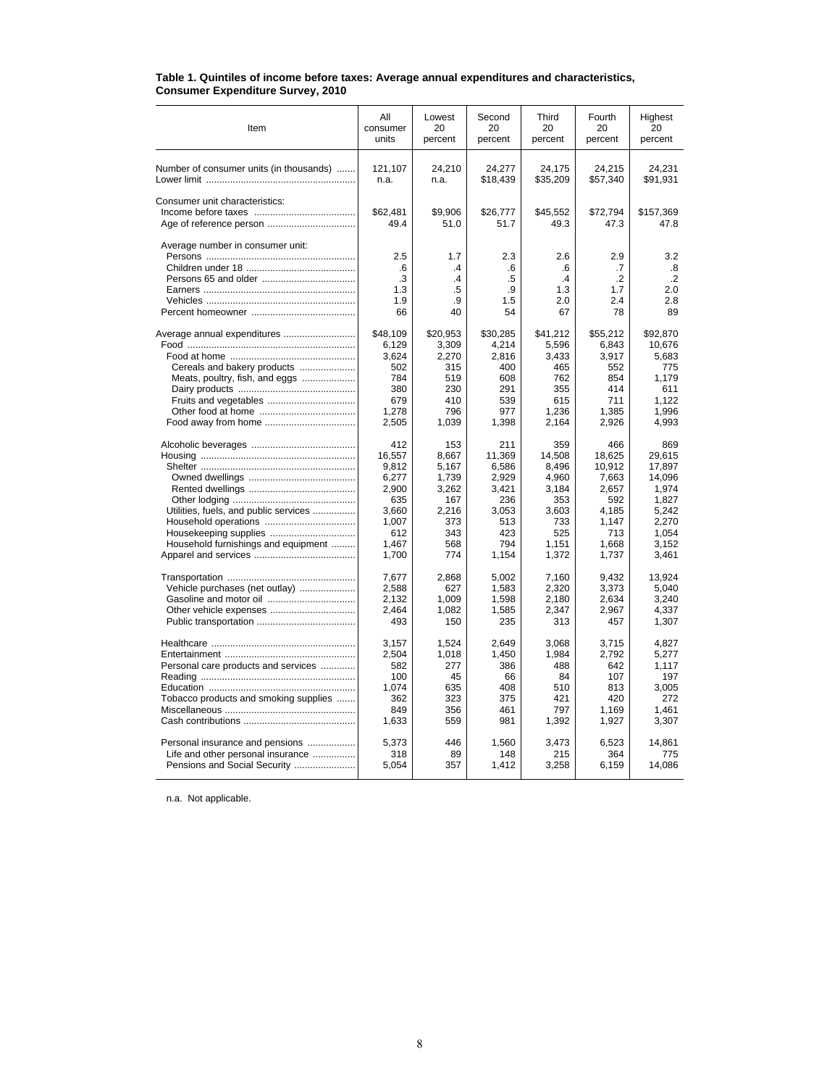| Item                                    | All                                 | Lowest                                             | Second                             | Third                                      | Fourth                                      | Highest                                  |
|-----------------------------------------|-------------------------------------|----------------------------------------------------|------------------------------------|--------------------------------------------|---------------------------------------------|------------------------------------------|
|                                         | consumer                            | 20                                                 | 20                                 | 20                                         | 20                                          | 20                                       |
|                                         | units                               | percent                                            | percent                            | percent                                    | percent                                     | percent                                  |
| Number of consumer units (in thousands) | 121,107                             | 24,210                                             | 24,277                             | 24,175                                     | 24,215                                      | 24,231                                   |
|                                         | n.a.                                | n.a.                                               | \$18,439                           | \$35,209                                   | \$57,340                                    | \$91,931                                 |
| Consumer unit characteristics:          | \$62,481<br>49.4                    | \$9.906<br>51.0                                    | \$26,777<br>51.7                   | \$45,552<br>49.3                           | \$72,794<br>47.3                            | \$157,369<br>47.8                        |
| Average number in consumer unit:        | 2.5<br>.6<br>.3<br>1.3<br>1.9<br>66 | 1.7<br>$\cdot$<br>$\overline{A}$<br>.5<br>.9<br>40 | 2.3<br>.6<br>.5<br>.9<br>1.5<br>54 | 2.6<br>.6<br>$\cdot$ 4<br>1.3<br>2.0<br>67 | 2.9<br>.7<br>$\cdot$ .2<br>1.7<br>2.4<br>78 | 3.2<br>.8<br>$\cdot$<br>2.0<br>2.8<br>89 |
| Average annual expenditures             | \$48,109                            | \$20,953                                           | \$30,285                           | \$41,212                                   | \$55,212                                    | \$92,870                                 |
|                                         | 6,129                               | 3,309                                              | 4,214                              | 5,596                                      | 6,843                                       | 10,676                                   |
|                                         | 3,624                               | 2,270                                              | 2,816                              | 3,433                                      | 3,917                                       | 5,683                                    |
| Cereals and bakery products             | 502                                 | 315                                                | 400                                | 465                                        | 552                                         | 775                                      |
| Meats, poultry, fish, and eggs          | 784                                 | 519                                                | 608                                | 762                                        | 854                                         | 1,179                                    |
|                                         | 380                                 | 230                                                | 291                                | 355                                        | 414                                         | 611                                      |
| Fruits and vegetables                   | 679                                 | 410                                                | 539                                | 615                                        | 711                                         | 1,122                                    |
|                                         | 1,278                               | 796                                                | 977                                | 1,236                                      | 1,385                                       | 1,996                                    |
|                                         | 2,505                               | 1,039                                              | 1,398                              | 2,164                                      | 2,926                                       | 4,993                                    |
|                                         | 412                                 | 153                                                | 211                                | 359                                        | 466                                         | 869                                      |
|                                         | 16,557                              | 8,667                                              | 11,369                             | 14,508                                     | 18,625                                      | 29,615                                   |
|                                         | 9,812                               | 5,167                                              | 6,586                              | 8,496                                      | 10,912                                      | 17,897                                   |
|                                         | 6,277                               | 1,739                                              | 2,929                              | 4,960                                      | 7,663                                       | 14,096                                   |
|                                         | 2,900                               | 3,262                                              | 3,421                              | 3,184                                      | 2,657                                       | 1,974                                    |
|                                         | 635                                 | 167                                                | 236                                | 353                                        | 592                                         | 1,827                                    |
| Utilities, fuels, and public services   | 3,660                               | 2,216                                              | 3,053                              | 3,603                                      | 4,185                                       | 5,242                                    |
|                                         | 1,007                               | 373                                                | 513                                | 733                                        | 1,147                                       | 2.270                                    |
|                                         | 612                                 | 343                                                | 423                                | 525                                        | 713                                         | 1,054                                    |
| Household furnishings and equipment     | 1,467                               | 568                                                | 794                                | 1,151                                      | 1,668                                       | 3,152                                    |
|                                         | 1,700                               | 774                                                | 1,154                              | 1,372                                      | 1,737                                       | 3,461                                    |
|                                         | 7,677                               | 2,868                                              | 5,002                              | 7,160                                      | 9,432                                       | 13,924                                   |
| Vehicle purchases (net outlay)          | 2,588                               | 627                                                | 1,583                              | 2,320                                      | 3,373                                       | 5,040                                    |
|                                         | 2,132                               | 1,009                                              | 1,598                              | 2,180                                      | 2,634                                       | 3,240                                    |
|                                         | 2,464                               | 1,082                                              | 1,585                              | 2,347                                      | 2,967                                       | 4,337                                    |
|                                         | 493                                 | 150                                                | 235                                | 313                                        | 457                                         | 1,307                                    |
|                                         | 3,157                               | 1,524                                              | 2,649                              | 3,068                                      | 3,715                                       | 4,827                                    |
|                                         | 2,504                               | 1,018                                              | 1,450                              | 1,984                                      | 2,792                                       | 5,277                                    |
| Personal care products and services     | 582                                 | 277                                                | 386                                | 488                                        | 642                                         | 1,117                                    |
|                                         | 100                                 | 45                                                 | 66                                 | 84                                         | 107                                         | 197                                      |
|                                         | 1,074                               | 635                                                | 408                                | 510                                        | 813                                         | 3.005                                    |
| Tobacco products and smoking supplies   | 362                                 | 323                                                | 375                                | 421                                        | 420                                         | 272                                      |
|                                         | 849                                 | 356                                                | 461                                | 797                                        | 1,169                                       | 1,461                                    |
|                                         | 1,633                               | 559                                                | 981                                | 1,392                                      | 1,927                                       | 3,307                                    |
| Personal insurance and pensions         | 5,373                               | 446                                                | 1,560                              | 3,473                                      | 6,523                                       | 14,861                                   |
| Life and other personal insurance       | 318                                 | 89                                                 | 148                                | 215                                        | 364                                         | 775                                      |
| Pensions and Social Security            | 5,054                               | 357                                                | 1,412                              | 3,258                                      | 6,159                                       | 14,086                                   |

#### **Table 1. Quintiles of income before taxes: Average annual expenditures and characteristics, Consumer Expenditure Survey, 2010**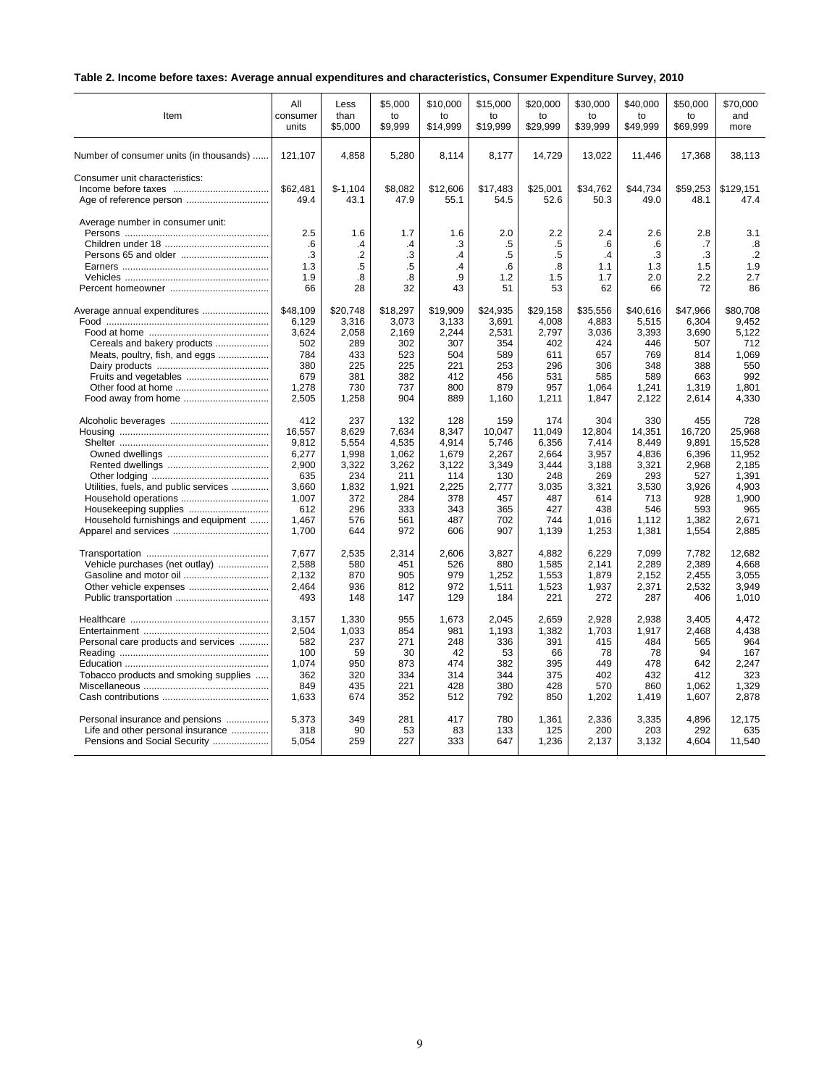# **Table 2. Income before taxes: Average annual expenditures and characteristics, Consumer Expenditure Survey, 2010**

| Item                                    | All              | Less              | \$5,000         | \$10,000         | \$15,000         | \$20,000         | \$30,000         | \$40,000         | \$50,000         | \$70.000          |
|-----------------------------------------|------------------|-------------------|-----------------|------------------|------------------|------------------|------------------|------------------|------------------|-------------------|
|                                         | consumer         | than              | to              | to               | to               | to               | to               | to               | to               | and               |
|                                         | units            | \$5,000           | \$9,999         | \$14,999         | \$19,999         | \$29,999         | \$39,999         | \$49,999         | \$69,999         | more              |
| Number of consumer units (in thousands) | 121,107          | 4,858             | 5,280           | 8,114            | 8,177            | 14,729           | 13,022           | 11,446           | 17,368           | 38,113            |
| Consumer unit characteristics:          | \$62,481<br>49.4 | $$-1,104$<br>43.1 | \$8,082<br>47.9 | \$12,606<br>55.1 | \$17,483<br>54.5 | \$25,001<br>52.6 | \$34,762<br>50.3 | \$44,734<br>49.0 | \$59,253<br>48.1 | \$129,151<br>47.4 |
| Average number in consumer unit:        | 2.5<br>.6        | 1.6<br>$\cdot$    | 1.7<br>.4       | 1.6<br>.3        | 2.0<br>.5        | 2.2<br>.5        | 2.4<br>.6        | 2.6<br>.6        | 2.8<br>.7        | 3.1<br>.8         |
| Persons 65 and older                    | .3               | $\overline{2}$    | .3              | $\mathcal{A}$    | .5               | .5               | $\mathcal{A}$    | .3               | .3               | $\cdot$ .2        |
|                                         | 1.3              | .5                | .5              | $\mathcal{A}$    | .6               | .8               | 1.1              | 1.3              | 1.5              | 1.9               |
|                                         | 1.9              | .8                | .8              | .9               | 1.2              | 1.5              | 1.7              | 2.0              | 2.2              | 2.7               |
|                                         | 66               | 28                | 32              | 43               | 51               | 53               | 62               | 66               | 72               | 86                |
| Average annual expenditures             | \$48.109         | \$20.748          | \$18.297        | \$19,909         | \$24.935         | \$29.158         | \$35.556         | \$40.616         | \$47.966         | \$80.708          |
|                                         | 6,129            | 3,316             | 3,073           | 3,133            | 3,691            | 4,008            | 4,883            | 5,515            | 6,304            | 9,452             |
|                                         | 3.624            | 2.058             | 2.169           | 2,244            | 2,531            | 2.797            | 3.036            | 3,393            | 3.690            | 5.122             |
| Cereals and bakery products             | 502              | 289               | 302             | 307              | 354              | 402              | 424              | 446              | 507              | 712               |
| Meats, poultry, fish, and eggs          | 784              | 433               | 523             | 504              | 589              | 611              | 657              | 769              | 814              | 1.069             |
|                                         | 380              | 225               | 225             | 221              | 253              | 296              | 306              | 348              | 388              | 550               |
|                                         | 679              | 381               | 382             | 412              | 456              | 531              | 585              | 589              | 663              | 992               |
|                                         | 1,278            | 730               | 737             | 800              | 879              | 957              | 1,064            | 1,241            | 1,319            | 1,801             |
|                                         | 2,505            | 1,258             | 904             | 889              | 1,160            | 1,211            | 1,847            | 2,122            | 2,614            | 4,330             |
|                                         | 412              | 237               | 132             | 128              | 159              | 174              | 304              | 330              | 455              | 728               |
|                                         | 16,557           | 8,629             | 7,634           | 8,347            | 10,047           | 11,049           | 12,804           | 14,351           | 16,720           | 25,968            |
|                                         | 9,812            | 5,554             | 4,535           | 4,914            | 5,746            | 6,356            | 7,414            | 8,449            | 9,891            | 15,528            |
|                                         | 6,277            | 1,998             | 1,062           | 1.679            | 2,267            | 2,664            | 3,957            | 4,836            | 6,396            | 11,952            |
|                                         | 2,900            | 3,322             | 3,262           | 3,122            | 3,349            | 3,444            | 3,188            | 3,321            | 2,968            | 2,185             |
|                                         | 635              | 234               | 211             | 114              | 130              | 248              | 269              | 293              | 527              | 1.391             |
| Utilities, fuels, and public services   | 3,660            | 1,832             | 1,921           | 2,225            | 2,777            | 3,035            | 3,321            | 3,530            | 3,926            | 4,903             |
|                                         | 1,007            | 372               | 284             | 378              | 457              | 487              | 614              | 713              | 928              | 1,900             |
|                                         | 612              | 296               | 333             | 343              | 365              | 427              | 438              | 546              | 593              | 965               |
| Household furnishings and equipment     | 1,467            | 576               | 561             | 487              | 702              | 744              | 1,016            | 1,112            | 1,382            | 2,671             |
|                                         | 1,700            | 644               | 972             | 606              | 907              | 1,139            | 1,253            | 1,381            | 1,554            | 2,885             |
|                                         | 7.677            | 2,535             | 2,314           | 2,606            | 3,827            | 4,882            | 6,229            | 7,099            | 7,782            | 12,682            |
| Vehicle purchases (net outlay)          | 2,588            | 580               | 451             | 526              | 880              | 1,585            | 2,141            | 2,289            | 2,389            | 4,668             |
| Gasoline and motor oil                  | 2.132            | 870               | 905             | 979              | 1,252            | 1,553            | 1,879            | 2,152            | 2,455            | 3.055             |
|                                         | 2,464            | 936               | 812             | 972              | 1,511            | 1,523            | 1,937            | 2,371            | 2,532            | 3,949             |
|                                         | 493              | 148               | 147             | 129              | 184              | 221              | 272              | 287              | 406              | 1,010             |
|                                         | 3,157            | 1,330             | 955             | 1,673            | 2,045            | 2,659            | 2,928            | 2,938            | 3,405            | 4,472             |
|                                         | 2,504            | 1,033             | 854             | 981              | 1,193            | 1,382            | 1.703            | 1,917            | 2,468            | 4,438             |
| Personal care products and services     | 582              | 237               | 271             | 248              | 336              | 391              | 415              | 484              | 565              | 964               |
|                                         | 100              | 59                | 30              | 42               | 53               | 66               | 78               | 78               | 94               | 167               |
|                                         | 1,074            | 950               | 873             | 474              | 382              | 395              | 449              | 478              | 642              | 2,247             |
| Tobacco products and smoking supplies   | 362              | 320               | 334             | 314              | 344              | 375              | 402              | 432              | 412              | 323               |
|                                         | 849              | 435               | 221             | 428              | 380              | 428              | 570              | 860              | 1,062            | 1,329             |
|                                         | 1,633            | 674               | 352             | 512              | 792              | 850              | 1,202            | 1,419            | 1,607            | 2,878             |
| Personal insurance and pensions         | 5,373            | 349               | 281             | 417              | 780              | 1,361            | 2,336            | 3,335            | 4,896            | 12,175            |
| Life and other personal insurance       | 318              | 90                | 53              | 83               | 133              | 125              | 200              | 203              | 292              | 635               |
| Pensions and Social Security            | 5,054            | 259               | 227             | 333              | 647              | 1,236            | 2,137            | 3,132            | 4,604            | 11,540            |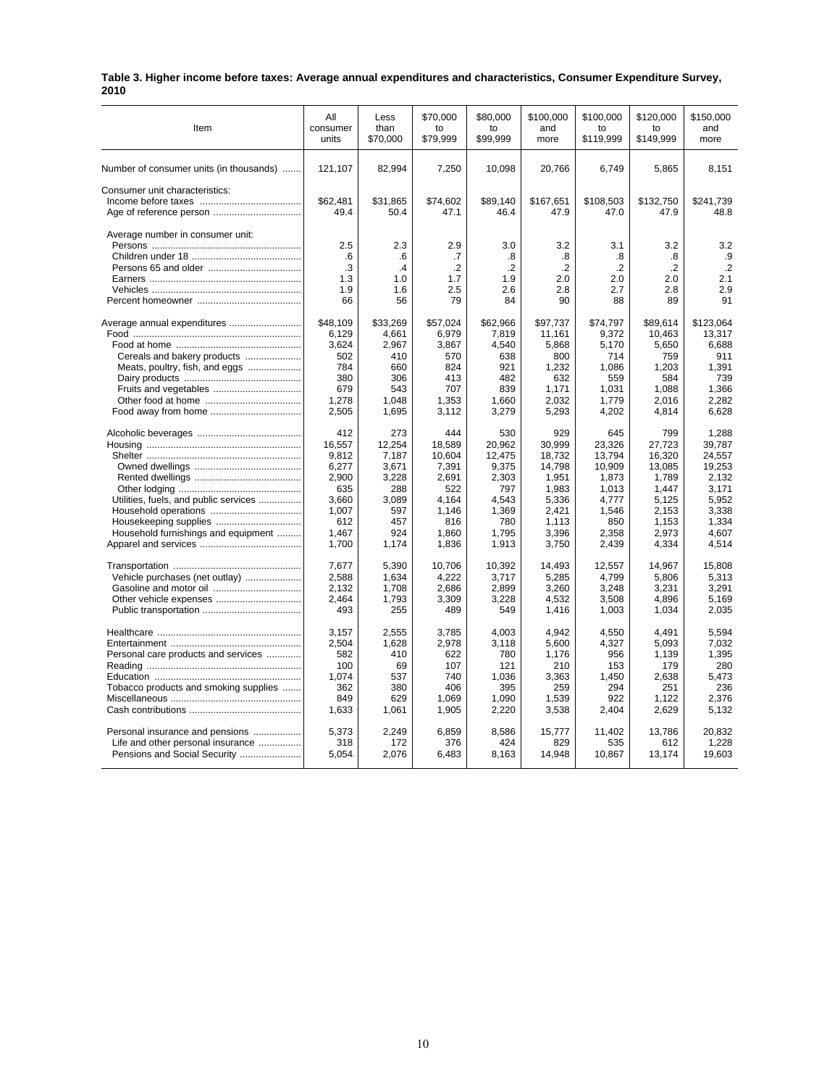| Table 3. Higher income before taxes: Average annual expenditures and characteristics, Consumer Expenditure Survey, |  |
|--------------------------------------------------------------------------------------------------------------------|--|
| 2010                                                                                                               |  |

| Item                                    | All              | Less             | \$70,000         | \$80,000         | \$100,000         | \$100,000         | \$120,000         | \$150,000         |
|-----------------------------------------|------------------|------------------|------------------|------------------|-------------------|-------------------|-------------------|-------------------|
|                                         | consumer         | than             | to               | to               | and               | to                | to                | and               |
|                                         | units            | \$70,000         | \$79,999         | \$99,999         | more              | \$119,999         | \$149,999         | more              |
| Number of consumer units (in thousands) | 121,107          | 82,994           | 7,250            | 10,098           | 20,766            | 6,749             | 5,865             | 8,151             |
| Consumer unit characteristics:          | \$62,481<br>49.4 | \$31,865<br>50.4 | \$74,602<br>47.1 | \$89,140<br>46.4 | \$167,651<br>47.9 | \$108,503<br>47.0 | \$132,750<br>47.9 | \$241,739<br>48.8 |
| Average number in consumer unit:        | 2.5              | 2.3              | 2.9              | 3.0              | 3.2               | 3.1               | 3.2               | 3.2               |
|                                         | .6               | .6               | .7               | .8               | .8                | .8                | .8                | .9                |
|                                         | .3               | .4               | $\cdot$          | $\cdot$          | $\cdot$ .2        | $\cdot$           | $\cdot$           | $\cdot$           |
|                                         | 1.3              | 1.0              | 1.7              | 1.9              | 2.0               | 2.0               | 2.0               | 2.1               |
|                                         | 1.9              | 1.6              | 2.5              | 2.6              | 2.8               | 2.7               | 2.8               | 2.9               |
|                                         | 66               | 56               | 79               | 84               | 90                | 88                | 89                | 91                |
| Average annual expenditures             | \$48,109         | \$33,269         | \$57,024         | \$62,966         | \$97,737          | \$74,797          | \$89,614          | \$123,064         |
|                                         | 6,129            | 4,661            | 6,979            | 7,819            | 11,161            | 9,372             | 10,463            | 13,317            |
|                                         | 3,624            | 2,967            | 3,867            | 4,540            | 5,868             | 5,170             | 5,650             | 6,688             |
| Cereals and bakery products             | 502              | 410              | 570              | 638              | 800               | 714               | 759               | 911               |
| Meats, poultry, fish, and eggs          | 784              | 660              | 824              | 921              | 1,232             | 1,086             | 1,203             | 1,391             |
|                                         | 380              | 306              | 413              | 482              | 632               | 559               | 584               | 739               |
|                                         | 679              | 543              | 707              | 839              | 1,171             | 1,031             | 1,088             | 1,366             |
|                                         | 1,278            | 1,048            | 1,353            | 1,660            | 2,032             | 1,779             | 2,016             | 2.282             |
|                                         | 2,505            | 1,695            | 3,112            | 3,279            | 5,293             | 4,202             | 4,814             | 6,628             |
|                                         | 412              | 273              | 444              | 530              | 929               | 645               | 799               | 1,288             |
|                                         | 16,557           | 12,254           | 18,589           | 20,962           | 30,999            | 23,326            | 27,723            | 39.787            |
|                                         | 9,812            | 7,187            | 10,604           | 12,475           | 18,732            | 13,794            | 16,320            | 24,557            |
|                                         | 6,277            | 3,671            | 7,391            | 9,375            | 14,798            | 10,909            | 13,085            | 19,253            |
|                                         | 2,900            | 3,228            | 2,691            | 2,303            | 1,951             | 1,873             | 1,789             | 2.132             |
|                                         | 635              | 288              | 522              | 797              | 1,983             | 1,013             | 1,447             | 3.171             |
| Utilities, fuels, and public services   | 3,660            | 3,089            | 4,164            | 4,543            | 5,336             | 4,777             | 5,125             | 5,952             |
|                                         | 1,007            | 597              | 1,146            | 1,369            | 2,421             | 1,546             | 2,153             | 3,338             |
|                                         | 612              | 457              | 816              | 780              | 1,113             | 850               | 1,153             | 1.334             |
| Household furnishings and equipment     | 1,467            | 924              | 1,860            | 1,795            | 3,396             | 2,358             | 2,973             | 4,607             |
|                                         | 1,700            | 1,174            | 1,836            | 1,913            | 3,750             | 2,439             | 4,334             | 4,514             |
|                                         | 7,677            | 5,390            | 10,706           | 10,392           | 14,493            | 12,557            | 14,967            | 15,808            |
| Vehicle purchases (net outlay)          | 2,588            | 1,634            | 4,222            | 3,717            | 5,285             | 4,799             | 5,806             | 5,313             |
|                                         | 2,132            | 1,708            | 2,686            | 2,899            | 3,260             | 3,248             | 3,231             | 3.291             |
|                                         | 2,464            | 1,793            | 3,309            | 3,228            | 4,532             | 3,508             | 4,896             | 5.169             |
|                                         | 493              | 255              | 489              | 549              | 1,416             | 1,003             | 1,034             | 2,035             |
|                                         | 3.157            | 2.555            | 3,785            | 4.003            | 4.942             | 4,550             | 4.491             | 5.594             |
|                                         | 2,504            | 1,628            | 2,978            | 3,118            | 5,600             | 4,327             | 5,093             | 7.032             |
| Personal care products and services     | 582              | 410              | 622              | 780              | 1.176             | 956               | 1,139             | 1.395             |
|                                         | 100              | 69               | 107              | 121              | 210               | 153               | 179               | 280               |
|                                         | 1.074            | 537              | 740              | 1.036            | 3.363             | 1.450             | 2.638             | 5.473             |
| Tobacco products and smoking supplies   | 362              | 380              | 406              | 395              | 259               | 294               | 251               | 236               |
|                                         | 849              | 629              | 1,069            | 1,090            | 1,539             | 922               | 1,122             | 2,376             |
|                                         | 1,633            | 1,061            | 1,905            | 2,220            | 3,538             | 2,404             | 2,629             | 5,132             |
| Personal insurance and pensions         | 5,373            | 2,249            | 6,859            | 8,586            | 15,777            | 11,402            | 13,786            | 20.832            |
| Life and other personal insurance       | 318              | 172              | 376              | 424              | 829               | 535               | 612               | 1,228             |
| Pensions and Social Security            | 5,054            | 2,076            | 6,483            | 8,163            | 14,948            | 10,867            | 13,174            | 19,603            |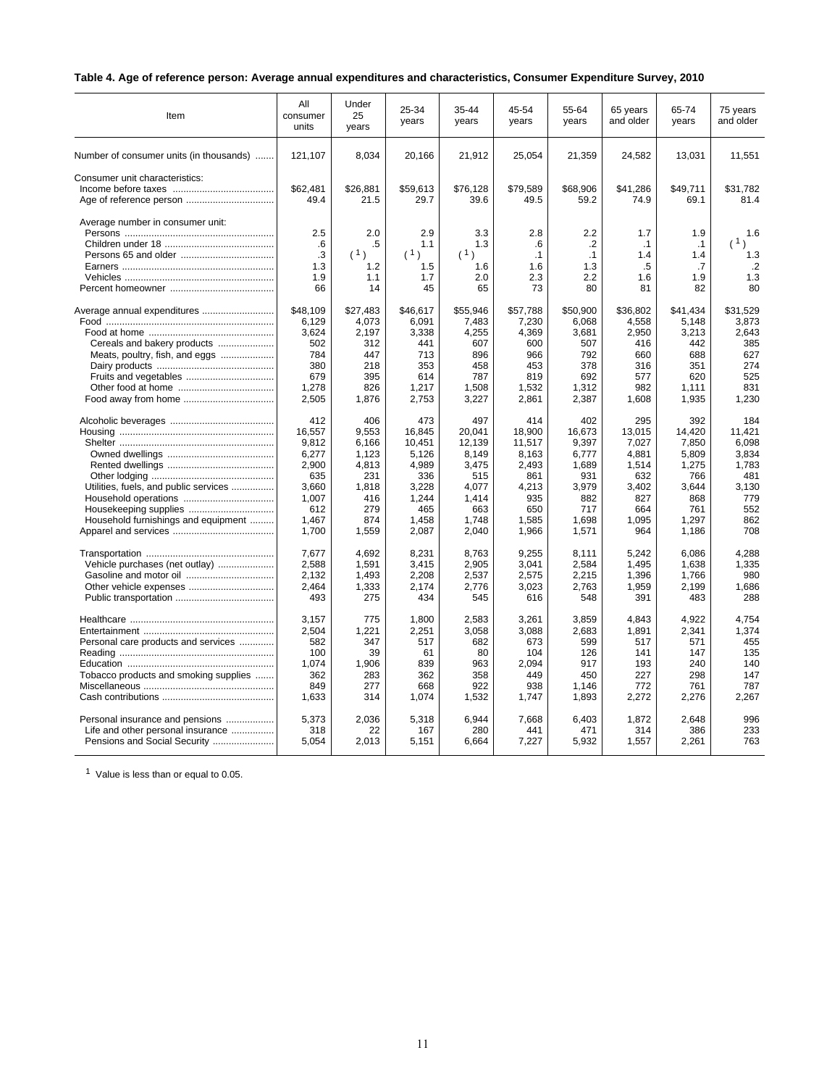# **Table 4. Age of reference person: Average annual expenditures and characteristics, Consumer Expenditure Survey, 2010**

| Item                                    | All<br>consumer<br>units            | Under<br>25<br>years                 | 25-34<br>years                        | 35-44<br>years                        | 45-54<br>years                             | 55-64<br>years                                  | 65 years<br>and older                      | 65-74<br>years                      | 75 years<br>and older                                               |
|-----------------------------------------|-------------------------------------|--------------------------------------|---------------------------------------|---------------------------------------|--------------------------------------------|-------------------------------------------------|--------------------------------------------|-------------------------------------|---------------------------------------------------------------------|
| Number of consumer units (in thousands) | 121,107                             | 8,034                                | 20,166                                | 21,912                                | 25,054                                     | 21,359                                          | 24,582                                     | 13,031                              | 11,551                                                              |
| Consumer unit characteristics:          | \$62.481<br>49.4                    | \$26,881<br>21.5                     | \$59,613<br>29.7                      | \$76,128<br>39.6                      | \$79,589<br>49.5                           | \$68,906<br>59.2                                | \$41,286<br>74.9                           | \$49,711<br>69.1                    | \$31,782<br>81.4                                                    |
| Average number in consumer unit:        | 2.5<br>.6<br>.3<br>1.3<br>1.9<br>66 | 2.0<br>.5<br>(1)<br>1.2<br>1.1<br>14 | 2.9<br>1.1<br>(1)<br>1.5<br>1.7<br>45 | 3.3<br>1.3<br>(1)<br>1.6<br>2.0<br>65 | 2.8<br>.6<br>$\cdot$ 1<br>1.6<br>2.3<br>73 | 2.2<br>$\cdot$<br>$\cdot$ 1<br>1.3<br>2.2<br>80 | 1.7<br>$\cdot$ 1<br>1.4<br>.5<br>1.6<br>81 | 1.9<br>.1<br>1.4<br>.7<br>1.9<br>82 | 1.6<br>(1)<br>$\lambda$<br>1.3<br>$\cdot$ <sub>2</sub><br>1.3<br>80 |
| Average annual expenditures             | \$48,109                            | \$27,483                             | \$46,617                              | \$55,946                              | \$57,788                                   | \$50,900                                        | \$36,802                                   | \$41,434                            | \$31,529                                                            |
|                                         | 6,129                               | 4.073                                | 6.091                                 | 7.483                                 | 7,230                                      | 6,068                                           | 4,558                                      | 5.148                               | 3.873                                                               |
|                                         | 3,624                               | 2,197                                | 3,338                                 | 4,255                                 | 4,369                                      | 3,681                                           | 2,950                                      | 3,213                               | 2.643                                                               |
| Cereals and bakery products             | 502                                 | 312                                  | 441                                   | 607                                   | 600                                        | 507                                             | 416                                        | 442                                 | 385                                                                 |
| Meats, poultry, fish, and eggs          | 784                                 | 447                                  | 713                                   | 896                                   | 966                                        | 792                                             | 660                                        | 688                                 | 627                                                                 |
|                                         | 380                                 | 218                                  | 353                                   | 458                                   | 453                                        | 378                                             | 316                                        | 351                                 | 274                                                                 |
|                                         | 679                                 | 395                                  | 614                                   | 787                                   | 819                                        | 692                                             | 577                                        | 620                                 | 525                                                                 |
|                                         | 1,278                               | 826                                  | 1,217                                 | 1.508                                 | 1,532                                      | 1,312                                           | 982                                        | 1,111                               | 831                                                                 |
|                                         | 2,505                               | 1,876                                | 2,753                                 | 3,227                                 | 2,861                                      | 2,387                                           | 1,608                                      | 1,935                               | 1,230                                                               |
|                                         | 412                                 | 406                                  | 473                                   | 497                                   | 414                                        | 402                                             | 295                                        | 392                                 | 184                                                                 |
|                                         | 16.557                              | 9.553                                | 16.845                                | 20.041                                | 18.900                                     | 16.673                                          | 13.015                                     | 14.420                              | 11.421                                                              |
|                                         | 9,812                               | 6,166                                | 10,451                                | 12,139                                | 11,517                                     | 9,397                                           | 7,027                                      | 7,850                               | 6,098                                                               |
|                                         | 6,277                               | 1,123                                | 5,126                                 | 8,149                                 | 8,163                                      | 6,777                                           | 4,881                                      | 5,809                               | 3,834                                                               |
|                                         | 2,900                               | 4,813                                | 4,989                                 | 3,475                                 | 2,493                                      | 1,689                                           | 1,514                                      | 1,275                               | 1,783                                                               |
|                                         | 635                                 | 231                                  | 336                                   | 515                                   | 861                                        | 931                                             | 632                                        | 766                                 | 481                                                                 |
| Utilities, fuels, and public services   | 3,660                               | 1,818                                | 3,228                                 | 4,077                                 | 4,213                                      | 3,979                                           | 3,402                                      | 3,644                               | 3,130                                                               |
|                                         | 1,007                               | 416                                  | 1,244                                 | 1.414                                 | 935                                        | 882                                             | 827                                        | 868                                 | 779                                                                 |
|                                         | 612                                 | 279                                  | 465                                   | 663                                   | 650                                        | 717                                             | 664                                        | 761                                 | 552                                                                 |
| Household furnishings and equipment     | 1.467                               | 874                                  | 1.458                                 | 1.748                                 | 1.585                                      | 1.698                                           | 1.095                                      | 1.297                               | 862                                                                 |
|                                         | 1,700                               | 1,559                                | 2,087                                 | 2,040                                 | 1,966                                      | 1,571                                           | 964                                        | 1,186                               | 708                                                                 |
|                                         | 7,677                               | 4,692                                | 8,231                                 | 8,763                                 | 9,255                                      | 8,111                                           | 5,242                                      | 6,086                               | 4,288                                                               |
| Vehicle purchases (net outlay)          | 2,588                               | 1,591                                | 3,415                                 | 2,905                                 | 3,041                                      | 2,584                                           | 1,495                                      | 1,638                               | 1,335                                                               |
|                                         | 2,132                               | 1,493                                | 2,208                                 | 2,537                                 | 2,575                                      | 2,215                                           | 1,396                                      | 1,766                               | 980                                                                 |
|                                         | 2,464                               | 1,333                                | 2,174                                 | 2,776                                 | 3,023                                      | 2,763                                           | 1,959                                      | 2,199                               | 1,686                                                               |
|                                         | 493                                 | 275                                  | 434                                   | 545                                   | 616                                        | 548                                             | 391                                        | 483                                 | 288                                                                 |
|                                         | 3,157                               | 775                                  | 1,800                                 | 2,583                                 | 3,261                                      | 3,859                                           | 4,843                                      | 4,922                               | 4,754                                                               |
|                                         | 2,504                               | 1,221                                | 2,251                                 | 3,058                                 | 3.088                                      | 2,683                                           | 1,891                                      | 2,341                               | 1,374                                                               |
| Personal care products and services     | 582                                 | 347                                  | 517                                   | 682                                   | 673                                        | 599                                             | 517                                        | 571                                 | 455                                                                 |
|                                         | 100                                 | 39                                   | 61                                    | 80                                    | 104                                        | 126                                             | 141                                        | 147                                 | 135                                                                 |
|                                         | 1.074                               | 1,906                                | 839                                   | 963                                   | 2.094                                      | 917                                             | 193                                        | 240                                 | 140                                                                 |
| Tobacco products and smoking supplies   | 362                                 | 283                                  | 362                                   | 358                                   | 449                                        | 450                                             | 227                                        | 298                                 | 147                                                                 |
|                                         | 849                                 | 277                                  | 668                                   | 922                                   | 938                                        | 1.146                                           | 772                                        | 761                                 | 787                                                                 |
|                                         | 1,633                               | 314                                  | 1,074                                 | 1,532                                 | 1,747                                      | 1,893                                           | 2,272                                      | 2,276                               | 2,267                                                               |
| Personal insurance and pensions         | 5.373                               | 2,036                                | 5,318                                 | 6,944                                 | 7,668                                      | 6,403                                           | 1,872                                      | 2.648                               | 996                                                                 |
| Life and other personal insurance       | 318                                 | 22                                   | 167                                   | 280                                   | 441                                        | 471                                             | 314                                        | 386                                 | 233                                                                 |
| Pensions and Social Security            | 5.054                               | 2.013                                | 5,151                                 | 6.664                                 | 7,227                                      | 5.932                                           | 1.557                                      | 2.261                               | 763                                                                 |

<sup>1</sup> Value is less than or equal to 0.05.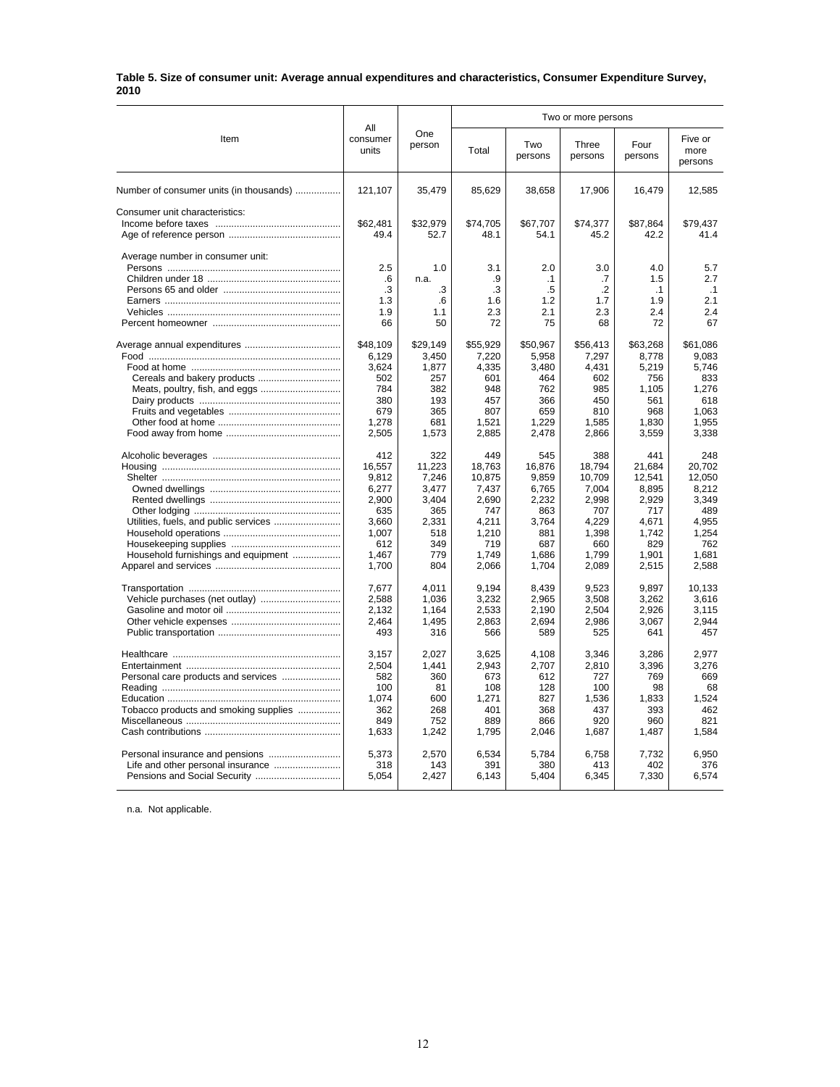#### **Table 5. Size of consumer unit: Average annual expenditures and characteristics, Consumer Expenditure Survey, 2010**

|                                         |                          |               | Two or more persons                                                                                                                                                                                                                                                                                                                                                                                                                                                                                                                                                                                                                                                                                                                                                                                                                                                                                                                                                                                                                                                                                                                                                                                                                                                                                                       |                            |       |       |                |  |
|-----------------------------------------|--------------------------|---------------|---------------------------------------------------------------------------------------------------------------------------------------------------------------------------------------------------------------------------------------------------------------------------------------------------------------------------------------------------------------------------------------------------------------------------------------------------------------------------------------------------------------------------------------------------------------------------------------------------------------------------------------------------------------------------------------------------------------------------------------------------------------------------------------------------------------------------------------------------------------------------------------------------------------------------------------------------------------------------------------------------------------------------------------------------------------------------------------------------------------------------------------------------------------------------------------------------------------------------------------------------------------------------------------------------------------------------|----------------------------|-------|-------|----------------|--|
| Item                                    | All<br>consumer<br>units | One<br>person | Three<br>Four<br>Two<br>Total<br>persons<br>persons<br>persons<br>35,479<br>85,629<br>38,658<br>17,906<br>16,479<br>\$32,979<br>\$74,705<br>\$67,707<br>\$74,377<br>\$87,864<br>52.7<br>48.1<br>54.1<br>45.2<br>42.2<br>1.0<br>3.1<br>2.0<br>3.0<br>4.0<br>.9<br>1.5<br>n.a.<br>$\cdot$ 1<br>.7<br>.3<br>.5<br>$\cdot$<br>.3<br>$\cdot$ 1<br>1.6<br>1.7<br>1.9<br>.6<br>1.2<br>2.3<br>2.3<br>2.4<br>1.1<br>2.1<br>50<br>72<br>75<br>72<br>68<br>\$29,149<br>\$55,929<br>\$50,967<br>\$56,413<br>\$63,268<br>3,450<br>7,220<br>5,958<br>7,297<br>8,778<br>4,335<br>1,877<br>3,480<br>4,431<br>5,219<br>601<br>464<br>257<br>602<br>756<br>382<br>948<br>762<br>985<br>1,105<br>366<br>193<br>457<br>450<br>561<br>365<br>807<br>659<br>810<br>968<br>681<br>1,521<br>1,229<br>1,585<br>1,830<br>1,573<br>2,885<br>2,478<br>2,866<br>3,559<br>322<br>449<br>545<br>388<br>441<br>21,684<br>11,223<br>18,763<br>16,876<br>18,794<br>7,246<br>10,875<br>9,859<br>10,709<br>12,541<br>3,477<br>7,437<br>7,004<br>8,895<br>6,765<br>3,404<br>2,690<br>2,232<br>2,998<br>2,929<br>365<br>747<br>863<br>707<br>717<br>2,331<br>4.211<br>3.764<br>4.229<br>4.671<br>518<br>1,210<br>881<br>1,398<br>1,742<br>349<br>719<br>687<br>829<br>660<br>779<br>1,749<br>1,799<br>1,686<br>1,901<br>2,066<br>2,089<br>2,515<br>804<br>1,704 | Five or<br>more<br>persons |       |       |                |  |
| Number of consumer units (in thousands) | 121,107                  |               |                                                                                                                                                                                                                                                                                                                                                                                                                                                                                                                                                                                                                                                                                                                                                                                                                                                                                                                                                                                                                                                                                                                                                                                                                                                                                                                           |                            |       |       | 12,585         |  |
| Consumer unit characteristics:          |                          |               |                                                                                                                                                                                                                                                                                                                                                                                                                                                                                                                                                                                                                                                                                                                                                                                                                                                                                                                                                                                                                                                                                                                                                                                                                                                                                                                           |                            |       |       |                |  |
|                                         | \$62,481                 |               |                                                                                                                                                                                                                                                                                                                                                                                                                                                                                                                                                                                                                                                                                                                                                                                                                                                                                                                                                                                                                                                                                                                                                                                                                                                                                                                           |                            |       |       | \$79.437       |  |
|                                         | 49.4                     |               |                                                                                                                                                                                                                                                                                                                                                                                                                                                                                                                                                                                                                                                                                                                                                                                                                                                                                                                                                                                                                                                                                                                                                                                                                                                                                                                           |                            |       |       | 41.4           |  |
| Average number in consumer unit:        |                          |               |                                                                                                                                                                                                                                                                                                                                                                                                                                                                                                                                                                                                                                                                                                                                                                                                                                                                                                                                                                                                                                                                                                                                                                                                                                                                                                                           |                            |       |       |                |  |
|                                         | 2.5                      |               |                                                                                                                                                                                                                                                                                                                                                                                                                                                                                                                                                                                                                                                                                                                                                                                                                                                                                                                                                                                                                                                                                                                                                                                                                                                                                                                           |                            |       |       | 5.7            |  |
|                                         | .6                       |               |                                                                                                                                                                                                                                                                                                                                                                                                                                                                                                                                                                                                                                                                                                                                                                                                                                                                                                                                                                                                                                                                                                                                                                                                                                                                                                                           |                            |       |       | 2.7            |  |
|                                         | .3                       |               |                                                                                                                                                                                                                                                                                                                                                                                                                                                                                                                                                                                                                                                                                                                                                                                                                                                                                                                                                                                                                                                                                                                                                                                                                                                                                                                           |                            |       |       | .1             |  |
|                                         | 1.3                      |               |                                                                                                                                                                                                                                                                                                                                                                                                                                                                                                                                                                                                                                                                                                                                                                                                                                                                                                                                                                                                                                                                                                                                                                                                                                                                                                                           |                            |       |       | 2.1            |  |
|                                         | 1.9                      |               |                                                                                                                                                                                                                                                                                                                                                                                                                                                                                                                                                                                                                                                                                                                                                                                                                                                                                                                                                                                                                                                                                                                                                                                                                                                                                                                           |                            |       |       | 2.4            |  |
|                                         | 66                       |               |                                                                                                                                                                                                                                                                                                                                                                                                                                                                                                                                                                                                                                                                                                                                                                                                                                                                                                                                                                                                                                                                                                                                                                                                                                                                                                                           |                            |       |       | 67             |  |
|                                         | \$48,109                 |               |                                                                                                                                                                                                                                                                                                                                                                                                                                                                                                                                                                                                                                                                                                                                                                                                                                                                                                                                                                                                                                                                                                                                                                                                                                                                                                                           |                            |       |       | \$61,086       |  |
|                                         | 6,129                    |               |                                                                                                                                                                                                                                                                                                                                                                                                                                                                                                                                                                                                                                                                                                                                                                                                                                                                                                                                                                                                                                                                                                                                                                                                                                                                                                                           |                            |       |       | 9,083          |  |
|                                         | 3,624                    |               |                                                                                                                                                                                                                                                                                                                                                                                                                                                                                                                                                                                                                                                                                                                                                                                                                                                                                                                                                                                                                                                                                                                                                                                                                                                                                                                           |                            |       |       | 5,746          |  |
|                                         | 502                      |               |                                                                                                                                                                                                                                                                                                                                                                                                                                                                                                                                                                                                                                                                                                                                                                                                                                                                                                                                                                                                                                                                                                                                                                                                                                                                                                                           |                            |       |       | 833            |  |
| Meats, poultry, fish, and eggs          | 784                      |               |                                                                                                                                                                                                                                                                                                                                                                                                                                                                                                                                                                                                                                                                                                                                                                                                                                                                                                                                                                                                                                                                                                                                                                                                                                                                                                                           |                            |       |       | 1,276          |  |
|                                         | 380                      |               |                                                                                                                                                                                                                                                                                                                                                                                                                                                                                                                                                                                                                                                                                                                                                                                                                                                                                                                                                                                                                                                                                                                                                                                                                                                                                                                           |                            |       |       | 618            |  |
|                                         | 679                      |               |                                                                                                                                                                                                                                                                                                                                                                                                                                                                                                                                                                                                                                                                                                                                                                                                                                                                                                                                                                                                                                                                                                                                                                                                                                                                                                                           |                            |       |       | 1.063          |  |
|                                         | 1,278                    |               |                                                                                                                                                                                                                                                                                                                                                                                                                                                                                                                                                                                                                                                                                                                                                                                                                                                                                                                                                                                                                                                                                                                                                                                                                                                                                                                           |                            |       |       | 1,955          |  |
|                                         | 2,505                    |               |                                                                                                                                                                                                                                                                                                                                                                                                                                                                                                                                                                                                                                                                                                                                                                                                                                                                                                                                                                                                                                                                                                                                                                                                                                                                                                                           |                            |       |       | 3,338          |  |
|                                         | 412                      |               |                                                                                                                                                                                                                                                                                                                                                                                                                                                                                                                                                                                                                                                                                                                                                                                                                                                                                                                                                                                                                                                                                                                                                                                                                                                                                                                           |                            |       |       | 248            |  |
|                                         | 16,557                   |               |                                                                                                                                                                                                                                                                                                                                                                                                                                                                                                                                                                                                                                                                                                                                                                                                                                                                                                                                                                                                                                                                                                                                                                                                                                                                                                                           |                            |       |       | 20,702         |  |
|                                         | 9,812                    |               |                                                                                                                                                                                                                                                                                                                                                                                                                                                                                                                                                                                                                                                                                                                                                                                                                                                                                                                                                                                                                                                                                                                                                                                                                                                                                                                           |                            |       |       | 12,050         |  |
|                                         | 6,277                    |               |                                                                                                                                                                                                                                                                                                                                                                                                                                                                                                                                                                                                                                                                                                                                                                                                                                                                                                                                                                                                                                                                                                                                                                                                                                                                                                                           |                            |       |       | 8,212          |  |
|                                         | 2,900                    |               |                                                                                                                                                                                                                                                                                                                                                                                                                                                                                                                                                                                                                                                                                                                                                                                                                                                                                                                                                                                                                                                                                                                                                                                                                                                                                                                           |                            |       |       | 3,349          |  |
|                                         | 635                      |               |                                                                                                                                                                                                                                                                                                                                                                                                                                                                                                                                                                                                                                                                                                                                                                                                                                                                                                                                                                                                                                                                                                                                                                                                                                                                                                                           |                            |       |       | 489            |  |
|                                         | 3.660                    |               |                                                                                                                                                                                                                                                                                                                                                                                                                                                                                                                                                                                                                                                                                                                                                                                                                                                                                                                                                                                                                                                                                                                                                                                                                                                                                                                           |                            |       |       | 4.955          |  |
|                                         | 1.007                    |               |                                                                                                                                                                                                                                                                                                                                                                                                                                                                                                                                                                                                                                                                                                                                                                                                                                                                                                                                                                                                                                                                                                                                                                                                                                                                                                                           |                            |       |       | 1,254          |  |
|                                         | 612                      |               |                                                                                                                                                                                                                                                                                                                                                                                                                                                                                                                                                                                                                                                                                                                                                                                                                                                                                                                                                                                                                                                                                                                                                                                                                                                                                                                           |                            |       |       | 762            |  |
| Household furnishings and equipment     | 1,467<br>1,700           |               |                                                                                                                                                                                                                                                                                                                                                                                                                                                                                                                                                                                                                                                                                                                                                                                                                                                                                                                                                                                                                                                                                                                                                                                                                                                                                                                           |                            |       |       | 1,681<br>2,588 |  |
|                                         |                          |               |                                                                                                                                                                                                                                                                                                                                                                                                                                                                                                                                                                                                                                                                                                                                                                                                                                                                                                                                                                                                                                                                                                                                                                                                                                                                                                                           |                            |       |       |                |  |
|                                         | 7.677                    | 4.011         | 9,194                                                                                                                                                                                                                                                                                                                                                                                                                                                                                                                                                                                                                                                                                                                                                                                                                                                                                                                                                                                                                                                                                                                                                                                                                                                                                                                     | 8,439                      | 9,523 | 9.897 | 10.133         |  |
|                                         | 2,588                    | 1.036         | 3,232                                                                                                                                                                                                                                                                                                                                                                                                                                                                                                                                                                                                                                                                                                                                                                                                                                                                                                                                                                                                                                                                                                                                                                                                                                                                                                                     | 2,965                      | 3.508 | 3,262 | 3.616          |  |
|                                         | 2,132                    | 1,164         | 2,533                                                                                                                                                                                                                                                                                                                                                                                                                                                                                                                                                                                                                                                                                                                                                                                                                                                                                                                                                                                                                                                                                                                                                                                                                                                                                                                     | 2,190                      | 2,504 | 2,926 | 3,115          |  |
|                                         | 2.464                    | 1.495         | 2,863                                                                                                                                                                                                                                                                                                                                                                                                                                                                                                                                                                                                                                                                                                                                                                                                                                                                                                                                                                                                                                                                                                                                                                                                                                                                                                                     | 2,694                      | 2.986 | 3,067 | 2.944          |  |
|                                         | 493                      | 316           | 566                                                                                                                                                                                                                                                                                                                                                                                                                                                                                                                                                                                                                                                                                                                                                                                                                                                                                                                                                                                                                                                                                                                                                                                                                                                                                                                       | 589                        | 525   | 641   | 457            |  |
|                                         | 3,157                    | 2,027         | 3,625                                                                                                                                                                                                                                                                                                                                                                                                                                                                                                                                                                                                                                                                                                                                                                                                                                                                                                                                                                                                                                                                                                                                                                                                                                                                                                                     | 4,108                      | 3,346 | 3,286 | 2,977          |  |
|                                         | 2,504                    | 1,441         | 2,943                                                                                                                                                                                                                                                                                                                                                                                                                                                                                                                                                                                                                                                                                                                                                                                                                                                                                                                                                                                                                                                                                                                                                                                                                                                                                                                     | 2,707                      | 2,810 | 3,396 | 3,276          |  |
|                                         | 582                      | 360           | 673                                                                                                                                                                                                                                                                                                                                                                                                                                                                                                                                                                                                                                                                                                                                                                                                                                                                                                                                                                                                                                                                                                                                                                                                                                                                                                                       | 612                        | 727   | 769   | 669            |  |
|                                         | 100                      | 81            | 108                                                                                                                                                                                                                                                                                                                                                                                                                                                                                                                                                                                                                                                                                                                                                                                                                                                                                                                                                                                                                                                                                                                                                                                                                                                                                                                       | 128                        | 100   | 98    | 68             |  |
|                                         | 1,074                    | 600           | 1,271                                                                                                                                                                                                                                                                                                                                                                                                                                                                                                                                                                                                                                                                                                                                                                                                                                                                                                                                                                                                                                                                                                                                                                                                                                                                                                                     | 827                        | 1,536 | 1,833 | 1,524          |  |
| Tobacco products and smoking supplies   | 362                      | 268           | 401                                                                                                                                                                                                                                                                                                                                                                                                                                                                                                                                                                                                                                                                                                                                                                                                                                                                                                                                                                                                                                                                                                                                                                                                                                                                                                                       | 368                        | 437   | 393   | 462            |  |
|                                         | 849                      | 752           | 889                                                                                                                                                                                                                                                                                                                                                                                                                                                                                                                                                                                                                                                                                                                                                                                                                                                                                                                                                                                                                                                                                                                                                                                                                                                                                                                       | 866                        | 920   | 960   | 821            |  |
|                                         | 1,633                    | 1,242         | 1,795                                                                                                                                                                                                                                                                                                                                                                                                                                                                                                                                                                                                                                                                                                                                                                                                                                                                                                                                                                                                                                                                                                                                                                                                                                                                                                                     | 2,046                      | 1,687 | 1,487 | 1,584          |  |
| Personal insurance and pensions         | 5,373                    | 2.570         | 6,534                                                                                                                                                                                                                                                                                                                                                                                                                                                                                                                                                                                                                                                                                                                                                                                                                                                                                                                                                                                                                                                                                                                                                                                                                                                                                                                     | 5,784                      | 6.758 | 7,732 | 6,950          |  |
| Life and other personal insurance       | 318                      | 143           | 391                                                                                                                                                                                                                                                                                                                                                                                                                                                                                                                                                                                                                                                                                                                                                                                                                                                                                                                                                                                                                                                                                                                                                                                                                                                                                                                       | 380                        | 413   | 402   | 376            |  |
| Pensions and Social Security            | 5,054                    | 2,427         | 6,143                                                                                                                                                                                                                                                                                                                                                                                                                                                                                                                                                                                                                                                                                                                                                                                                                                                                                                                                                                                                                                                                                                                                                                                                                                                                                                                     | 5,404                      | 6,345 | 7,330 | 6,574          |  |
|                                         |                          |               |                                                                                                                                                                                                                                                                                                                                                                                                                                                                                                                                                                                                                                                                                                                                                                                                                                                                                                                                                                                                                                                                                                                                                                                                                                                                                                                           |                            |       |       |                |  |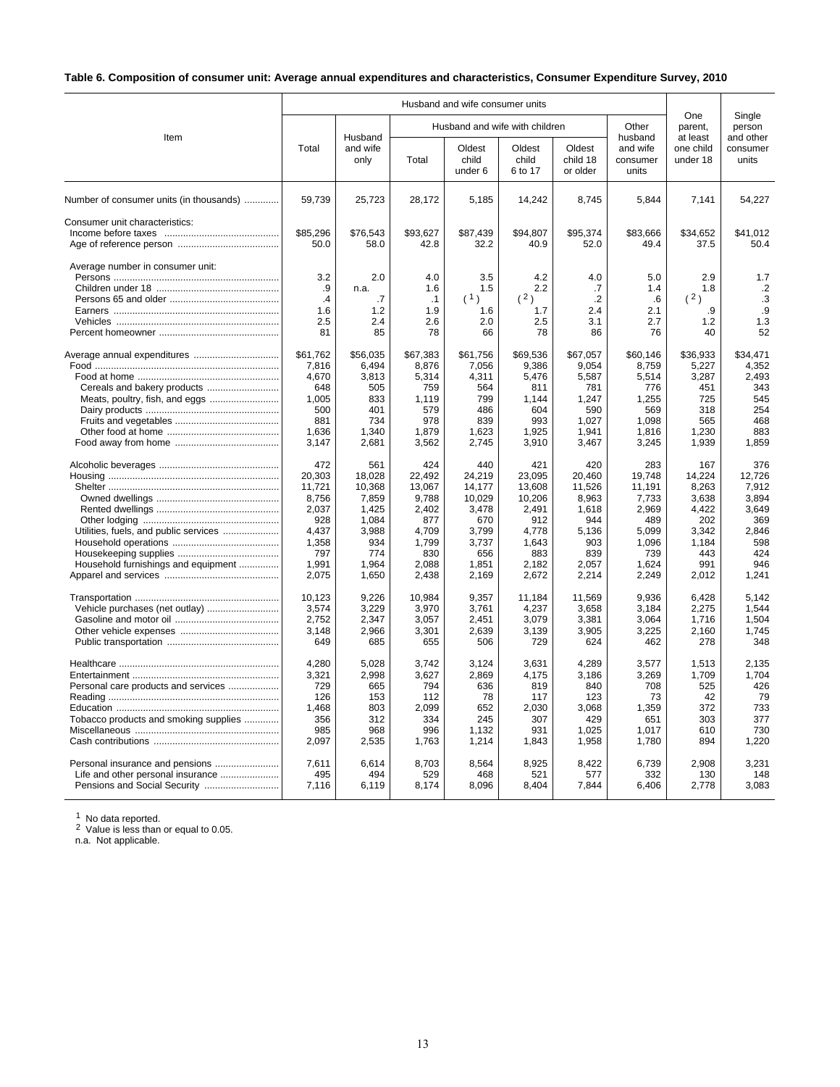# **Table 6. Composition of consumer unit: Average annual expenditures and characteristics, Consumer Expenditure Survey, 2010**

|                                                                              |                                                                                             |                                                                                             |                                                                                             | Husband and wife consumer units                                                              |                                                                                              |                                                                                           |                                                                                             |                                                                                          |                                                                                        |  |
|------------------------------------------------------------------------------|---------------------------------------------------------------------------------------------|---------------------------------------------------------------------------------------------|---------------------------------------------------------------------------------------------|----------------------------------------------------------------------------------------------|----------------------------------------------------------------------------------------------|-------------------------------------------------------------------------------------------|---------------------------------------------------------------------------------------------|------------------------------------------------------------------------------------------|----------------------------------------------------------------------------------------|--|
| Item                                                                         |                                                                                             | Husband                                                                                     |                                                                                             | Husband and wife with children                                                               |                                                                                              |                                                                                           | Other<br>husband                                                                            | One<br>parent,<br>at least                                                               | Single<br>person<br>and other                                                          |  |
|                                                                              | Total                                                                                       | and wife<br>only                                                                            | Total                                                                                       | Oldest<br>child<br>under 6                                                                   | Oldest<br>child<br>6 to 17                                                                   | Oldest<br>child 18<br>or older                                                            | and wife<br>consumer<br>units                                                               | one child<br>under 18                                                                    | consumer<br>units                                                                      |  |
| Number of consumer units (in thousands)                                      | 59,739                                                                                      | 25,723                                                                                      | 28,172                                                                                      | 5,185                                                                                        | 14,242                                                                                       | 8,745                                                                                     | 5,844                                                                                       | 7,141                                                                                    | 54,227                                                                                 |  |
| Consumer unit characteristics:                                               | \$85,296<br>50.0                                                                            | \$76,543<br>58.0                                                                            | \$93,627<br>42.8                                                                            | \$87,439<br>32.2                                                                             | \$94,807<br>40.9                                                                             | \$95,374<br>52.0                                                                          | \$83,666<br>49.4                                                                            | \$34,652<br>37.5                                                                         | \$41,012<br>50.4                                                                       |  |
| Average number in consumer unit:                                             | 3.2<br>.9<br>.4<br>1.6<br>2.5<br>81                                                         | 2.0<br>n.a.<br>.7<br>1.2<br>2.4<br>85                                                       | 4.0<br>1.6<br>.1<br>1.9<br>2.6<br>78                                                        | 3.5<br>1.5<br>(1)<br>1.6<br>2.0<br>66                                                        | 4.2<br>2.2<br>(2)<br>1.7<br>2.5<br>78                                                        | 4.0<br>.7<br>$\cdot$ .2<br>2.4<br>3.1<br>86                                               | 5.0<br>1.4<br>$6 \,$<br>2.1<br>2.7<br>76                                                    | 2.9<br>1.8<br>(2)<br>.9<br>1.2<br>40                                                     | 1.7<br>.2<br>.3<br>.9<br>1.3<br>52                                                     |  |
| Meats, poultry, fish, and eggs                                               | \$61,762<br>7,816<br>4.670<br>648<br>1,005<br>500<br>881<br>1,636<br>3,147                  | \$56.035<br>6.494<br>3,813<br>505<br>833<br>401<br>734<br>1,340<br>2,681                    | \$67,383<br>8,876<br>5,314<br>759<br>1,119<br>579<br>978<br>1,879<br>3,562                  | \$61,756<br>7,056<br>4,311<br>564<br>799<br>486<br>839<br>1,623<br>2,745                     | \$69,536<br>9,386<br>5,476<br>811<br>1,144<br>604<br>993<br>1,925<br>3,910                   | \$67.057<br>9.054<br>5,587<br>781<br>1,247<br>590<br>1,027<br>1,941<br>3,467              | \$60.146<br>8,759<br>5,514<br>776<br>1,255<br>569<br>1.098<br>1,816<br>3,245                | \$36.933<br>5,227<br>3,287<br>451<br>725<br>318<br>565<br>1,230<br>1,939                 | \$34.471<br>4,352<br>2,493<br>343<br>545<br>254<br>468<br>883<br>1,859                 |  |
| Utilities, fuels, and public services<br>Household furnishings and equipment | 472<br>20,303<br>11,721<br>8,756<br>2,037<br>928<br>4,437<br>1,358<br>797<br>1,991<br>2,075 | 561<br>18,028<br>10,368<br>7,859<br>1,425<br>1,084<br>3,988<br>934<br>774<br>1,964<br>1,650 | 424<br>22,492<br>13,067<br>9,788<br>2,402<br>877<br>4,709<br>1,799<br>830<br>2,088<br>2,438 | 440<br>24,219<br>14,177<br>10.029<br>3,478<br>670<br>3,799<br>3,737<br>656<br>1,851<br>2,169 | 421<br>23,095<br>13,608<br>10,206<br>2,491<br>912<br>4,778<br>1,643<br>883<br>2,182<br>2,672 | 420<br>20,460<br>11,526<br>8,963<br>1,618<br>944<br>5,136<br>903<br>839<br>2,057<br>2,214 | 283<br>19,748<br>11,191<br>7,733<br>2,969<br>489<br>5,099<br>1,096<br>739<br>1,624<br>2,249 | 167<br>14,224<br>8,263<br>3,638<br>4,422<br>202<br>3,342<br>1,184<br>443<br>991<br>2,012 | 376<br>12,726<br>7,912<br>3.894<br>3,649<br>369<br>2,846<br>598<br>424<br>946<br>1,241 |  |
|                                                                              | 10,123<br>3,574<br>2,752<br>3,148<br>649                                                    | 9,226<br>3,229<br>2,347<br>2,966<br>685                                                     | 10.984<br>3,970<br>3,057<br>3,301<br>655                                                    | 9.357<br>3,761<br>2,451<br>2,639<br>506                                                      | 11,184<br>4,237<br>3,079<br>3,139<br>729                                                     | 11,569<br>3,658<br>3,381<br>3,905<br>624                                                  | 9.936<br>3,184<br>3,064<br>3,225<br>462                                                     | 6.428<br>2,275<br>1,716<br>2,160<br>278                                                  | 5.142<br>1,544<br>1,504<br>1,745<br>348                                                |  |
| Personal care products and services<br>Tobacco products and smoking supplies | 4.280<br>3,321<br>729<br>126<br>1.468<br>356<br>985<br>2,097                                | 5,028<br>2,998<br>665<br>153<br>803<br>312<br>968<br>2,535                                  | 3.742<br>3,627<br>794<br>112<br>2.099<br>334<br>996<br>1,763                                | 3,124<br>2,869<br>636<br>78<br>652<br>245<br>1,132<br>1,214                                  | 3.631<br>4,175<br>819<br>117<br>2.030<br>307<br>931<br>1,843                                 | 4.289<br>3,186<br>840<br>123<br>3.068<br>429<br>1,025<br>1,958                            | 3,577<br>3,269<br>708<br>73<br>1.359<br>651<br>1,017<br>1,780                               | 1.513<br>1,709<br>525<br>42<br>372<br>303<br>610<br>894                                  | 2.135<br>1,704<br>426<br>79<br>733<br>377<br>730<br>1,220                              |  |
| Personal insurance and pensions                                              | 7,611<br>495<br>7,116                                                                       | 6,614<br>494<br>6,119                                                                       | 8,703<br>529<br>8,174                                                                       | 8,564<br>468<br>8,096                                                                        | 8,925<br>521<br>8,404                                                                        | 8,422<br>577<br>7,844                                                                     | 6,739<br>332<br>6,406                                                                       | 2,908<br>130<br>2,778                                                                    | 3,231<br>148<br>3,083                                                                  |  |

<sup>1</sup> No data reported.<br><sup>2</sup> Value is less than or equal to 0.05.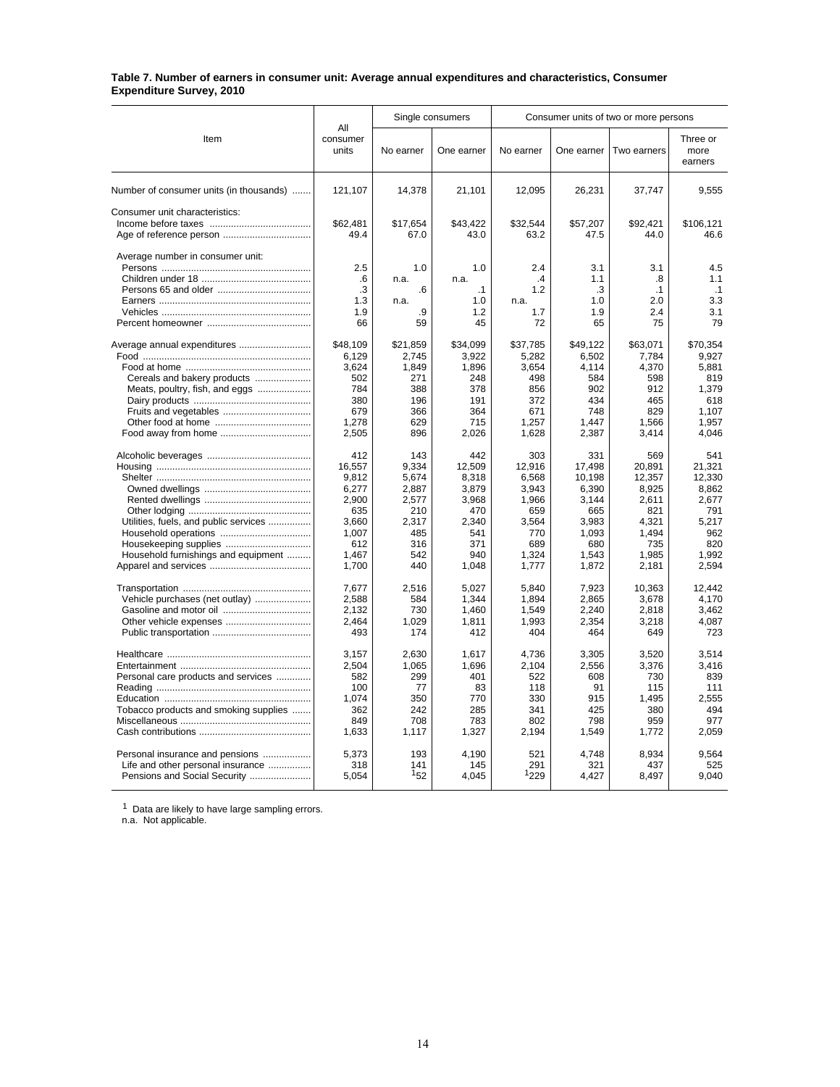#### **Table 7. Number of earners in consumer unit: Average annual expenditures and characteristics, Consumer Expenditure Survey, 2010**

|                                         |                          |            | Single consumers |                | Consumer units of two or more persons |                |                             |  |  |  |
|-----------------------------------------|--------------------------|------------|------------------|----------------|---------------------------------------|----------------|-----------------------------|--|--|--|
| Item                                    | All<br>consumer<br>units | No earner  | One earner       | No earner      | One earner                            | Two earners    | Three or<br>more<br>earners |  |  |  |
| Number of consumer units (in thousands) | 121,107                  | 14,378     | 21,101           | 12,095         | 26,231                                | 37,747         | 9,555                       |  |  |  |
| Consumer unit characteristics:          |                          |            |                  |                |                                       |                |                             |  |  |  |
|                                         | \$62,481                 | \$17,654   | \$43.422         | \$32,544       | \$57,207                              | \$92,421       | \$106.121                   |  |  |  |
| Age of reference person                 | 49.4                     | 67.0       | 43.0             | 63.2           | 47.5                                  | 44.0           | 46.6                        |  |  |  |
| Average number in consumer unit:        |                          |            |                  |                |                                       |                |                             |  |  |  |
|                                         | 2.5                      | 1.0        | 1.0              | 2.4            | 3.1                                   | 3.1            | 4.5                         |  |  |  |
|                                         | .6                       | n.a.       | n.a.             | .4             | 1.1                                   | .8             | 1.1                         |  |  |  |
|                                         | .3                       | .6         | $\cdot$ 1        | 1.2            | .3                                    | $\cdot$ 1      | $\cdot$ 1                   |  |  |  |
|                                         | 1.3                      | n.a.       | 1.0              | n.a.           | 1.0                                   | 2.0            | 3.3                         |  |  |  |
|                                         | 1.9                      | .9         | 1.2              | 1.7            | 1.9                                   | 2.4            | 3.1<br>79                   |  |  |  |
|                                         | 66                       | 59         | 45               | 72             | 65                                    | 75             |                             |  |  |  |
| Average annual expenditures             | \$48,109                 | \$21,859   | \$34,099         | \$37,785       | \$49.122                              | \$63,071       | \$70,354                    |  |  |  |
|                                         | 6,129                    | 2,745      | 3,922            | 5,282          | 6,502                                 | 7,784          | 9,927                       |  |  |  |
|                                         | 3,624                    | 1,849      | 1,896            | 3,654          | 4,114                                 | 4,370          | 5,881                       |  |  |  |
| Cereals and bakery products             | 502                      | 271        | 248              | 498            | 584                                   | 598            | 819                         |  |  |  |
| Meats, poultry, fish, and eggs          | 784                      | 388        | 378              | 856            | 902                                   | 912            | 1,379                       |  |  |  |
|                                         | 380                      | 196        | 191              | 372            | 434                                   | 465            | 618                         |  |  |  |
|                                         | 679                      | 366        | 364              | 671            | 748                                   | 829            | 1.107                       |  |  |  |
|                                         | 1,278                    | 629        | 715              | 1,257          | 1,447                                 | 1,566          | 1,957                       |  |  |  |
|                                         | 2,505                    | 896        | 2,026            | 1,628          | 2,387                                 | 3,414          | 4,046                       |  |  |  |
|                                         | 412                      | 143        | 442              | 303            | 331                                   | 569            | 541                         |  |  |  |
|                                         | 16.557                   | 9.334      | 12,509           | 12,916         | 17.498                                | 20.891         | 21.321                      |  |  |  |
|                                         | 9,812                    | 5,674      | 8,318            | 6,568          | 10.198                                | 12,357         | 12.330                      |  |  |  |
|                                         | 6,277                    | 2,887      | 3,879            | 3,943          | 6,390                                 | 8,925          | 8,862                       |  |  |  |
|                                         | 2,900                    | 2,577      | 3,968            | 1,966          | 3.144                                 | 2,611          | 2.677                       |  |  |  |
|                                         | 635                      | 210        | 470              | 659            | 665                                   | 821            | 791                         |  |  |  |
| Utilities, fuels, and public services   | 3,660                    | 2,317      | 2,340            | 3,564          | 3,983                                 | 4,321          | 5,217                       |  |  |  |
|                                         | 1,007                    | 485        | 541              | 770            | 1,093                                 | 1,494          | 962                         |  |  |  |
| Housekeeping supplies                   | 612                      | 316        | 371              | 689            | 680                                   | 735            | 820                         |  |  |  |
| Household furnishings and equipment     | 1,467<br>1,700           | 542<br>440 | 940<br>1,048     | 1,324<br>1,777 | 1,543<br>1,872                        | 1,985<br>2,181 | 1,992<br>2,594              |  |  |  |
|                                         |                          |            |                  |                |                                       |                |                             |  |  |  |
|                                         | 7,677                    | 2,516      | 5,027            | 5,840          | 7,923                                 | 10,363         | 12.442                      |  |  |  |
| Vehicle purchases (net outlay)          | 2,588                    | 584        | 1,344            | 1,894          | 2.865                                 | 3,678          | 4.170                       |  |  |  |
|                                         | 2,132                    | 730        | 1,460            | 1,549          | 2,240                                 | 2,818          | 3,462                       |  |  |  |
|                                         | 2.464                    | 1.029      | 1.811            | 1,993          | 2.354                                 | 3,218          | 4.087                       |  |  |  |
|                                         | 493                      | 174        | 412              | 404            | 464                                   | 649            | 723                         |  |  |  |
|                                         | 3,157                    | 2,630      | 1,617            | 4,736          | 3,305                                 | 3,520          | 3.514                       |  |  |  |
|                                         | 2.504                    | 1.065      | 1,696            | 2.104          | 2.556                                 | 3.376          | 3.416                       |  |  |  |
| Personal care products and services     | 582                      | 299        | 401              | 522            | 608                                   | 730            | 839                         |  |  |  |
|                                         | 100                      | 77         | 83               | 118            | 91                                    | 115            | 111                         |  |  |  |
|                                         | 1,074                    | 350        | 770              | 330            | 915                                   | 1,495          | 2,555                       |  |  |  |
| Tobacco products and smoking supplies   | 362                      | 242        | 285              | 341            | 425                                   | 380            | 494                         |  |  |  |
|                                         | 849                      | 708        | 783              | 802            | 798                                   | 959            | 977                         |  |  |  |
|                                         | 1,633                    | 1,117      | 1,327            | 2,194          | 1,549                                 | 1,772          | 2,059                       |  |  |  |
| Personal insurance and pensions         | 5,373                    | 193        | 4,190            | 521            | 4,748                                 | 8,934          | 9,564                       |  |  |  |
| Life and other personal insurance       | 318                      | 141        | 145              | 291            | 321                                   | 437            | 525                         |  |  |  |
|                                         | 5,054                    | 152        | 4.045            | 1229           | 4,427                                 | 8,497          | 9,040                       |  |  |  |
|                                         |                          |            |                  |                |                                       |                |                             |  |  |  |

 $1$  Data are likely to have large sampling errors.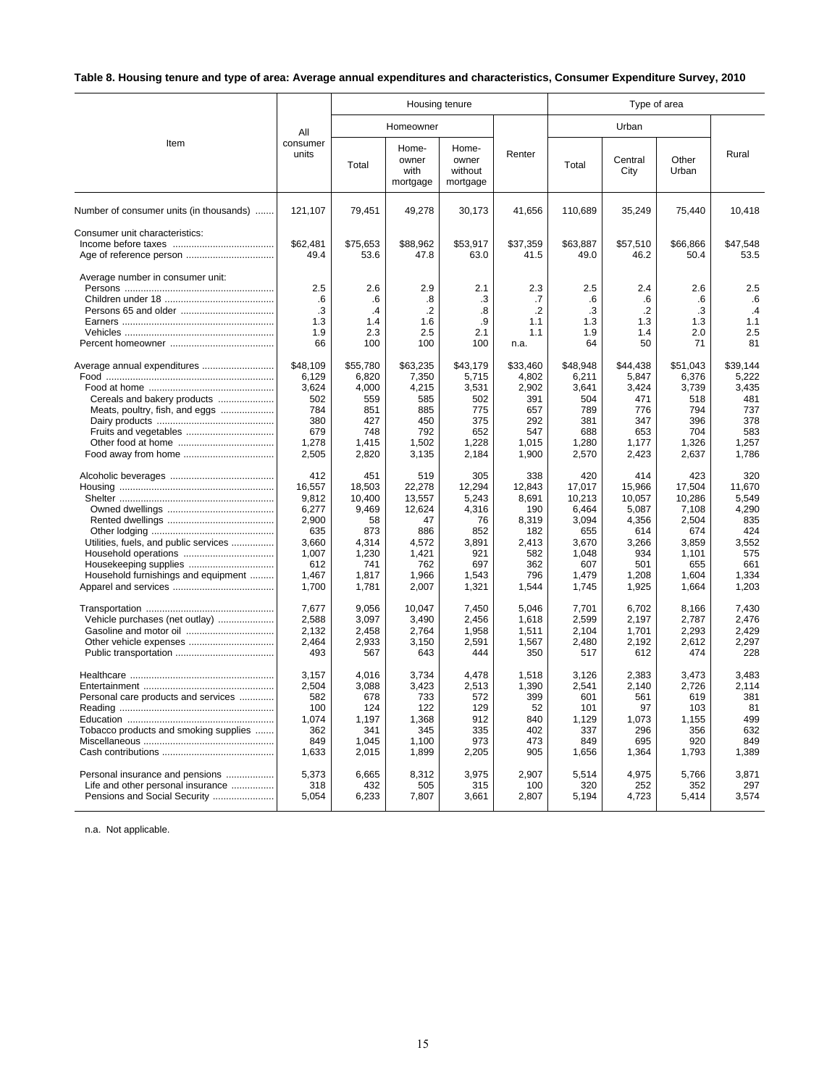# **Table 8. Housing tenure and type of area: Average annual expenditures and characteristics, Consumer Expenditure Survey, 2010**

|                                         |                   |                   | Housing tenure                     |                                       |                   |                   |                   |                   |                   |
|-----------------------------------------|-------------------|-------------------|------------------------------------|---------------------------------------|-------------------|-------------------|-------------------|-------------------|-------------------|
|                                         | All               |                   | Homeowner                          |                                       |                   |                   | Urban             |                   | Rural             |
| Item                                    | consumer<br>units | Total             | Home-<br>owner<br>with<br>mortgage | Home-<br>owner<br>without<br>mortgage | Renter            | Total             | Central<br>City   | Other<br>Urban    |                   |
| Number of consumer units (in thousands) | 121,107           | 79,451            | 49,278                             | 30,173                                | 41,656            | 110,689           | 35,249            | 75,440            | 10,418            |
| Consumer unit characteristics:          | \$62,481<br>49.4  | \$75,653<br>53.6  | \$88,962<br>47.8                   | \$53,917<br>63.0                      | \$37,359<br>41.5  | \$63,887<br>49.0  | \$57,510<br>46.2  | \$66,866<br>50.4  | \$47,548<br>53.5  |
| Average number in consumer unit:        | 2.5               | 2.6               | 2.9                                | 2.1                                   | 2.3               | 2.5               | 2.4               | 2.6               | 2.5               |
|                                         | .6<br>$\cdot$ 3   | .6<br>.4          | .8<br>$\cdot$                      | .3<br>$\boldsymbol{.8}$               | .7<br>$\cdot$     | .6<br>.3          | .6<br>.2          | .6<br>.3          | .6<br>.4          |
|                                         | 1.3               | 1.4               | 1.6                                | .9                                    | 1.1               | 1.3               | 1.3               | 1.3               | 1.1               |
|                                         | 1.9               | 2.3               | 2.5                                | 2.1                                   | 1.1               | 1.9               | 1.4               | 2.0               | 2.5               |
|                                         | 66                | 100               | 100                                | 100                                   | n.a.              | 64                | 50                | 71                | 81                |
| Average annual expenditures             | \$48,109<br>6,129 | \$55,780<br>6,820 | \$63,235<br>7,350                  | \$43,179<br>5,715                     | \$33,460<br>4,802 | \$48,948<br>6,211 | \$44,438<br>5,847 | \$51,043<br>6,376 | \$39,144<br>5,222 |
|                                         | 3,624             | 4,000             | 4,215                              | 3,531                                 | 2,902             | 3,641             | 3,424             | 3,739             | 3,435             |
| Cereals and bakery products             | 502               | 559               | 585                                | 502                                   | 391               | 504               | 471               | 518               | 481               |
| Meats, poultry, fish, and eggs          | 784<br>380        | 851<br>427        | 885<br>450                         | 775<br>375                            | 657<br>292        | 789<br>381        | 776<br>347        | 794<br>396        | 737<br>378        |
|                                         | 679               | 748               | 792                                | 652                                   | 547               | 688               | 653               | 704               | 583               |
|                                         | 1,278             | 1,415             | 1,502                              | 1,228                                 | 1,015             | 1,280             | 1,177             | 1,326             | 1,257             |
|                                         | 2,505             | 2,820             | 3,135                              | 2,184                                 | 1,900             | 2,570             | 2,423             | 2,637             | 1,786             |
|                                         | 412               | 451               | 519                                | 305                                   | 338               | 420               | 414               | 423               | 320               |
|                                         | 16,557            | 18,503            | 22,278                             | 12,294                                | 12,843            | 17,017            | 15,966            | 17,504            | 11,670            |
|                                         | 9,812             | 10,400            | 13,557                             | 5,243                                 | 8.691             | 10,213            | 10,057            | 10,286            | 5.549             |
|                                         | 6,277             | 9,469             | 12,624                             | 4,316                                 | 190               | 6,464             | 5,087             | 7,108             | 4,290             |
|                                         | 2,900             | 58                | 47                                 | 76                                    | 8,319             | 3,094             | 4,356             | 2,504             | 835               |
|                                         | 635               | 873               | 886                                | 852                                   | 182               | 655               | 614               | 674               | 424               |
| Utilities, fuels, and public services   | 3,660<br>1.007    | 4,314<br>1,230    | 4,572<br>1,421                     | 3,891<br>921                          | 2,413<br>582      | 3,670<br>1.048    | 3,266<br>934      | 3,859<br>1.101    | 3,552<br>575      |
|                                         | 612               | 741               | 762                                | 697                                   | 362               | 607               | 501               | 655               | 661               |
| Household furnishings and equipment     | 1,467             | 1,817             | 1,966                              | 1,543                                 | 796               | 1,479             | 1,208             | 1,604             | 1,334             |
|                                         | 1,700             | 1,781             | 2,007                              | 1,321                                 | 1,544             | 1,745             | 1,925             | 1,664             | 1,203             |
| Vehicle purchases (net outlay)          | 7.677<br>2.588    | 9.056<br>3.097    | 10.047<br>3.490                    | 7,450<br>2.456                        | 5.046<br>1.618    | 7,701<br>2.599    | 6.702<br>2.197    | 8.166<br>2.787    | 7.430<br>2.476    |
|                                         | 2,132             | 2,458             | 2,764                              | 1,958                                 | 1,511             | 2,104             | 1,701             | 2,293             | 2,429             |
| Other vehicle expenses                  | 2,464             | 2,933             | 3,150                              | 2,591                                 | 1,567             | 2.480             | 2,192             | 2,612             | 2.297             |
|                                         | 493               | 567               | 643                                | 444                                   | 350               | 517               | 612               | 474               | 228               |
|                                         | 3,157             | 4.016             | 3.734                              | 4.478                                 | 1.518             | 3,126             | 2.383             | 3.473             | 3.483             |
|                                         | 2,504             | 3,088             | 3,423                              | 2,513                                 | 1,390             | 2,541             | 2,140             | 2,726             | 2.114             |
| Personal care products and services     | 582               | 678               | 733                                | 572                                   | 399               | 601               | 561               | 619               | 381               |
|                                         | 100               | 124               | 122                                | 129                                   | 52                | 101               | 97                | 103               | 81                |
|                                         | 1,074             | 1,197             | 1,368                              | 912                                   | 840               | 1,129             | 1,073             | 1,155             | 499               |
| Tobacco products and smoking supplies   | 362<br>849        | 341<br>1,045      | 345<br>1,100                       | 335<br>973                            | 402<br>473        | 337<br>849        | 296<br>695        | 356<br>920        | 632<br>849        |
|                                         | 1,633             | 2,015             | 1,899                              | 2,205                                 | 905               | 1,656             | 1,364             | 1,793             | 1,389             |
|                                         |                   |                   |                                    |                                       |                   |                   |                   |                   |                   |
| Personal insurance and pensions         | 5,373             | 6,665             | 8,312                              | 3,975                                 | 2,907             | 5,514             | 4,975             | 5,766             | 3,871             |
| Life and other personal insurance       | 318<br>5,054      | 432               | 505                                | 315<br>3,661                          | 100<br>2,807      | 320               | 252               | 352<br>5,414      | 297               |
| Pensions and Social Security            |                   | 6,233             | 7,807                              |                                       |                   | 5,194             | 4,723             |                   | 3,574             |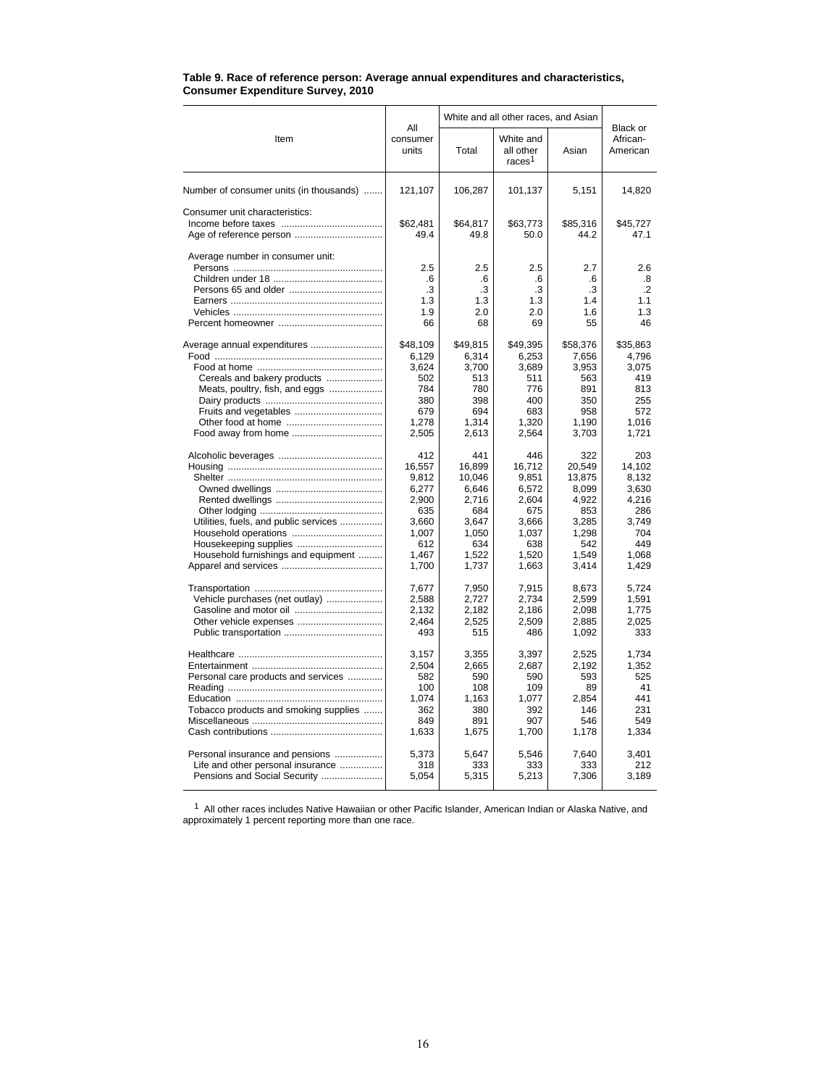|                                                           |                                     | White and all other races, and Asian |                                              |                                     |                                     |  |
|-----------------------------------------------------------|-------------------------------------|--------------------------------------|----------------------------------------------|-------------------------------------|-------------------------------------|--|
| Item                                                      | All<br>consumer<br>units            | Total                                | White and<br>all other<br>races <sup>1</sup> | Asian                               | Black or<br>African-<br>American    |  |
| Number of consumer units (in thousands)                   | 121,107                             | 106,287                              | 101,137                                      | 5,151                               | 14,820                              |  |
| Consumer unit characteristics:<br>Age of reference person | \$62,481<br>49.4                    | \$64,817<br>49.8                     | \$63,773<br>50.0                             | \$85,316<br>44.2                    | \$45,727<br>47.1                    |  |
| Average number in consumer unit:                          | 2.5<br>.6<br>.3<br>1.3<br>1.9<br>66 | 2.5<br>.6<br>.3<br>1.3<br>2.0<br>68  | 2.5<br>.6<br>.3<br>1.3<br>2.0<br>69          | 2.7<br>.6<br>.3<br>1.4<br>1.6<br>55 | 2.6<br>.8<br>.2<br>1.1<br>1.3<br>46 |  |
| Average annual expenditures                               | \$48,109                            | \$49,815                             | \$49,395                                     | \$58,376                            | \$35,863                            |  |
|                                                           | 6,129                               | 6,314                                | 6,253                                        | 7,656                               | 4,796                               |  |
|                                                           | 3,624                               | 3,700                                | 3,689                                        | 3,953                               | 3,075                               |  |
| Cereals and bakery products                               | 502                                 | 513                                  | 511                                          | 563                                 | 419                                 |  |
| Meats, poultry, fish, and eggs                            | 784                                 | 780                                  | 776                                          | 891                                 | 813                                 |  |
|                                                           | 380                                 | 398                                  | 400                                          | 350                                 | 255                                 |  |
|                                                           | 679                                 | 694                                  | 683                                          | 958                                 | 572                                 |  |
|                                                           | 1,278                               | 1,314                                | 1,320                                        | 1,190                               | 1,016                               |  |
| Food away from home                                       | 2,505                               | 2,613                                | 2,564                                        | 3,703                               | 1,721                               |  |
|                                                           | 412                                 | 441                                  | 446                                          | 322                                 | 203                                 |  |
|                                                           | 16,557                              | 16,899                               | 16,712                                       | 20,549                              | 14,102                              |  |
|                                                           | 9,812                               | 10,046                               | 9,851                                        | 13,875                              | 8.132                               |  |
|                                                           | 6,277                               | 6,646                                | 6,572                                        | 8,099                               | 3,630                               |  |
|                                                           | 2,900                               | 2,716                                | 2,604                                        | 4,922                               | 4,216                               |  |
|                                                           | 635                                 | 684                                  | 675                                          | 853                                 | 286                                 |  |
| Utilities, fuels, and public services                     | 3,660                               | 3.647                                | 3.666                                        | 3,285                               | 3,749                               |  |
|                                                           | 1,007                               | 1,050                                | 1,037                                        | 1,298                               | 704                                 |  |
|                                                           | 612                                 | 634                                  | 638                                          | 542                                 | 449                                 |  |
| Household furnishings and equipment                       | 1,467                               | 1,522                                | 1,520                                        | 1,549                               | 1,068                               |  |
|                                                           | 1,700                               | 1,737                                | 1,663                                        | 3,414                               | 1,429                               |  |
|                                                           | 7,677                               | 7,950                                | 7,915                                        | 8,673                               | 5,724                               |  |
| Vehicle purchases (net outlay)                            | 2.588                               | 2.727                                | 2,734                                        | 2,599                               | 1.591                               |  |
|                                                           | 2,132                               | 2,182                                | 2,186                                        | 2,098                               | 1,775                               |  |
|                                                           | 2,464                               | 2,525                                | 2,509                                        | 2,885                               | 2,025                               |  |
|                                                           | 493                                 | 515                                  | 486                                          | 1,092                               | 333                                 |  |
|                                                           | 3,157                               | 3,355                                | 3,397                                        | 2,525                               | 1,734                               |  |
|                                                           | 2,504                               | 2,665                                | 2,687                                        | 2,192                               | 1,352                               |  |
| Personal care products and services                       | 582                                 | 590                                  | 590                                          | 593                                 | 525                                 |  |
|                                                           | 100                                 | 108                                  | 109                                          | 89                                  | 41                                  |  |
|                                                           | 1,074                               | 1,163                                | 1,077                                        | 2,854                               | 441                                 |  |
| Tobacco products and smoking supplies                     | 362                                 | 380                                  | 392                                          | 146                                 | 231                                 |  |
|                                                           | 849                                 | 891                                  | 907                                          | 546                                 | 549                                 |  |
|                                                           | 1,633                               | 1,675                                | 1,700                                        | 1,178                               | 1,334                               |  |
| Personal insurance and pensions                           | 5,373                               | 5,647                                | 5,546                                        | 7,640                               | 3.401                               |  |
| Life and other personal insurance                         | 318                                 | 333                                  | 333                                          | 333                                 | 212                                 |  |
| Pensions and Social Security                              | 5,054                               | 5,315                                | 5,213                                        | 7,306                               | 3,189                               |  |

#### **Table 9. Race of reference person: Average annual expenditures and characteristics, Consumer Expenditure Survey, 2010**

 $1$  All other races includes Native Hawaiian or other Pacific Islander, American Indian or Alaska Native, and approximately 1 percent reporting more than one race.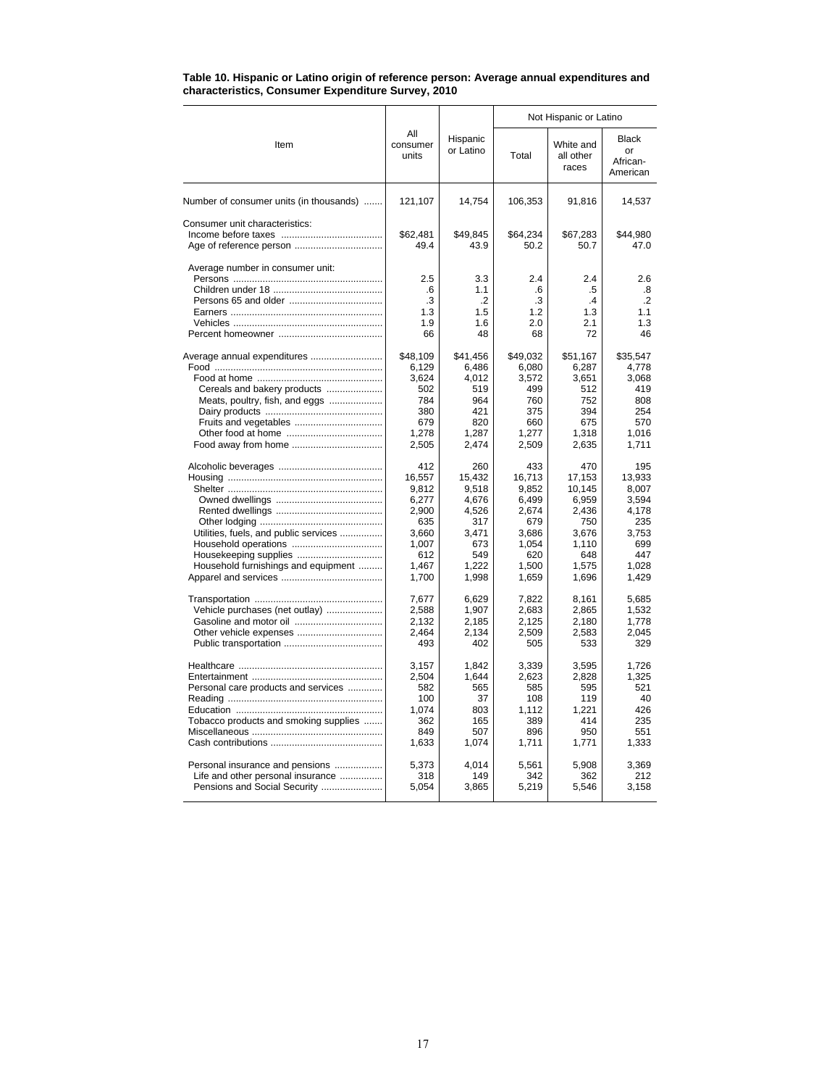|                                         |                                     |                                           | Not Hispanic or Latino              |                                          |                                             |  |  |
|-----------------------------------------|-------------------------------------|-------------------------------------------|-------------------------------------|------------------------------------------|---------------------------------------------|--|--|
| Item                                    | All<br>consumer<br>units            | Hispanic<br>or Latino                     | Total                               | White and<br>all other<br>races          | Black<br>or<br>African-<br>American         |  |  |
| Number of consumer units (in thousands) | 121,107                             | 14,754                                    | 106,353                             | 91,816                                   | 14,537                                      |  |  |
| Consumer unit characteristics:          | \$62,481<br>49.4                    | \$49.845<br>43.9                          | \$64.234<br>50.2                    | \$67,283<br>50.7                         | \$44,980<br>47.0                            |  |  |
| Average number in consumer unit:        | 2.5<br>.6<br>.3<br>1.3<br>1.9<br>66 | 3.3<br>1.1<br>$\cdot$<br>1.5<br>1.6<br>48 | 2.4<br>.6<br>.3<br>1.2<br>2.0<br>68 | 2.4<br>.5<br>$\cdot$<br>1.3<br>2.1<br>72 | 2.6<br>.8<br>$\cdot$ .2<br>1.1<br>1.3<br>46 |  |  |
| Average annual expenditures             | \$48,109                            | \$41,456                                  | \$49,032                            | \$51,167                                 | \$35,547                                    |  |  |
|                                         | 6,129                               | 6,486                                     | 6,080                               | 6,287                                    | 4,778                                       |  |  |
|                                         | 3.624                               | 4.012                                     | 3,572                               | 3.651                                    | 3.068                                       |  |  |
| Cereals and bakery products             | 502                                 | 519                                       | 499                                 | 512                                      | 419                                         |  |  |
| Meats, poultry, fish, and eggs          | 784                                 | 964                                       | 760                                 | 752                                      | 808                                         |  |  |
|                                         | 380                                 | 421                                       | 375                                 | 394                                      | 254                                         |  |  |
| Fruits and vegetables                   | 679                                 | 820                                       | 660                                 | 675                                      | 570                                         |  |  |
|                                         | 1.278                               | 1.287                                     | 1.277                               | 1.318                                    | 1.016                                       |  |  |
|                                         | 2,505                               | 2,474                                     | 2,509                               | 2,635                                    | 1,711                                       |  |  |
|                                         | 412                                 | 260                                       | 433                                 | 470                                      | 195                                         |  |  |
|                                         | 16,557                              | 15,432                                    | 16,713                              | 17,153                                   | 13,933                                      |  |  |
|                                         | 9,812                               | 9,518                                     | 9,852                               | 10,145                                   | 8,007                                       |  |  |
|                                         | 6,277                               | 4,676                                     | 6,499                               | 6,959                                    | 3,594                                       |  |  |
|                                         | 2,900                               | 4,526                                     | 2,674                               | 2,436                                    | 4,178                                       |  |  |
|                                         | 635                                 | 317                                       | 679                                 | 750                                      | 235                                         |  |  |
| Utilities, fuels, and public services   | 3,660                               | 3,471                                     | 3,686                               | 3,676                                    | 3,753                                       |  |  |
|                                         | 1,007                               | 673                                       | 1,054                               | 1,110                                    | 699                                         |  |  |
| Housekeeping supplies                   | 612                                 | 549                                       | 620                                 | 648                                      | 447                                         |  |  |
| Household furnishings and equipment     | 1,467                               | 1,222                                     | 1,500                               | 1,575                                    | 1,028                                       |  |  |
|                                         | 1,700                               | 1,998                                     | 1,659                               | 1,696                                    | 1,429                                       |  |  |
|                                         | 7,677                               | 6,629                                     | 7,822                               | 8,161                                    | 5,685                                       |  |  |
| Vehicle purchases (net outlay)          | 2,588                               | 1,907                                     | 2,683                               | 2.865                                    | 1,532                                       |  |  |
|                                         | 2,132                               | 2,185                                     | 2,125                               | 2,180                                    | 1,778                                       |  |  |
|                                         | 2,464                               | 2,134                                     | 2,509                               | 2,583                                    | 2,045                                       |  |  |
|                                         | 493                                 | 402                                       | 505                                 | 533                                      | 329                                         |  |  |
|                                         | 3.157                               | 1.842                                     | 3.339                               | 3.595                                    | 1.726                                       |  |  |
|                                         | 2,504                               | 1,644                                     | 2,623                               | 2,828                                    | 1,325                                       |  |  |
| Personal care products and services     | 582                                 | 565                                       | 585                                 | 595                                      | 521                                         |  |  |
|                                         | 100                                 | 37                                        | 108                                 | 119                                      | 40                                          |  |  |
|                                         | 1,074                               | 803                                       | 1,112                               | 1.221                                    | 426                                         |  |  |
| Tobacco products and smoking supplies   | 362                                 | 165                                       | 389                                 | 414                                      | 235                                         |  |  |
|                                         | 849                                 | 507                                       | 896                                 | 950                                      | 551                                         |  |  |
|                                         | 1,633                               | 1,074                                     | 1,711                               | 1,771                                    | 1,333                                       |  |  |
| Personal insurance and pensions         | 5,373                               | 4,014                                     | 5,561                               | 5,908                                    | 3.369                                       |  |  |
| Life and other personal insurance       | 318                                 | 149                                       | 342                                 | 362                                      | 212                                         |  |  |
| Pensions and Social Security            | 5,054                               | 3,865                                     | 5,219                               | 5,546                                    | 3,158                                       |  |  |

#### **Table 10. Hispanic or Latino origin of reference person: Average annual expenditures and characteristics, Consumer Expenditure Survey, 2010**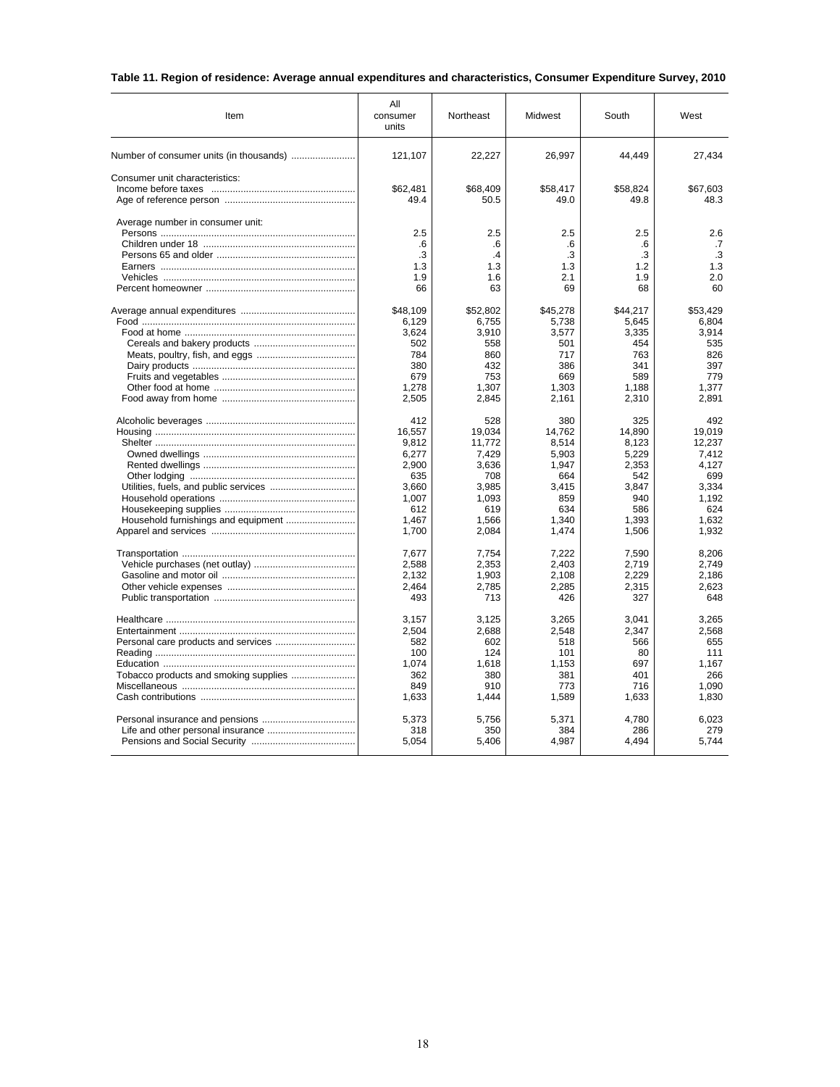# **Table 11. Region of residence: Average annual expenditures and characteristics, Consumer Expenditure Survey, 2010**

| Item                                    | Αll<br>consumer<br>units | Northeast  | Midwest    | South      | West       |
|-----------------------------------------|--------------------------|------------|------------|------------|------------|
| Number of consumer units (in thousands) | 121,107                  | 22,227     | 26,997     | 44,449     | 27,434     |
| Consumer unit characteristics:          |                          |            |            |            |            |
|                                         | \$62,481                 | \$68,409   | \$58,417   | \$58,824   | \$67,603   |
|                                         | 49.4                     | 50.5       | 49.0       | 49.8       | 48.3       |
| Average number in consumer unit:        | 2.5                      | 2.5        | 2.5        | 2.5        | 2.6        |
|                                         | .6                       | .6         | .6         | .6         | .7         |
|                                         | .3                       | .4         | .3         | .3         | .3         |
|                                         | 1.3                      | 1.3        | 1.3        | 1.2        | 1.3        |
|                                         | 1.9                      | 1.6        | 2.1        | 1.9        | 2.0        |
|                                         | 66                       | 63         | 69         | 68         | 60         |
|                                         | \$48,109                 | \$52,802   | \$45,278   | \$44,217   | \$53,429   |
|                                         | 6,129                    | 6,755      | 5,738      | 5,645      | 6,804      |
|                                         | 3,624                    | 3,910      | 3,577      | 3,335      | 3,914      |
|                                         | 502                      | 558        | 501        | 454        | 535        |
|                                         | 784<br>380               | 860<br>432 | 717<br>386 | 763<br>341 | 826<br>397 |
|                                         | 679                      | 753        | 669        | 589        | 779        |
|                                         | 1,278                    | 1,307      | 1,303      | 1,188      | 1,377      |
|                                         | 2,505                    | 2,845      | 2,161      | 2,310      | 2,891      |
|                                         | 412                      | 528        | 380        | 325        | 492        |
|                                         | 16,557                   | 19,034     | 14,762     | 14,890     | 19,019     |
|                                         | 9,812                    | 11,772     | 8,514      | 8,123      | 12,237     |
|                                         | 6,277                    | 7,429      | 5,903      | 5,229      | 7,412      |
|                                         | 2,900                    | 3,636      | 1,947      | 2,353      | 4,127      |
|                                         | 635                      | 708        | 664        | 542        | 699        |
|                                         | 3,660                    | 3,985      | 3,415      | 3,847      | 3,334      |
|                                         | 1.007                    | 1.093      | 859        | 940        | 1.192      |
|                                         | 612                      | 619        | 634        | 586        | 624        |
|                                         | 1.467                    | 1,566      | 1,340      | 1,393      | 1.632      |
|                                         | 1,700                    | 2,084      | 1,474      | 1,506      | 1,932      |
|                                         | 7.677                    | 7.754      | 7.222      | 7.590      | 8.206      |
|                                         | 2,588                    | 2,353      | 2,403      | 2,719      | 2,749      |
|                                         | 2,132                    | 1,903      | 2.108      | 2.229      | 2.186      |
|                                         | 2,464                    | 2,785      | 2,285      | 2,315      | 2,623      |
|                                         | 493                      | 713        | 426        | 327        | 648        |
|                                         | 3,157                    | 3,125      | 3,265      | 3.041      | 3,265      |
|                                         | 2,504                    | 2,688      | 2,548      | 2,347      | 2,568      |
|                                         | 582                      | 602        | 518        | 566        | 655        |
|                                         | 100                      | 124        | 101        | 80         | 111        |
|                                         | 1,074                    | 1,618      | 1,153      | 697        | 1.167      |
|                                         | 362                      | 380        | 381        | 401        | 266        |
|                                         | 849                      | 910        | 773        | 716        | 1,090      |
|                                         | 1,633                    | 1,444      | 1,589      | 1,633      | 1,830      |
|                                         | 5,373                    | 5,756      | 5,371      | 4,780      | 6,023      |
|                                         | 318                      | 350        | 384        | 286        | 279        |
|                                         | 5,054                    | 5,406      | 4,987      | 4,494      | 5,744      |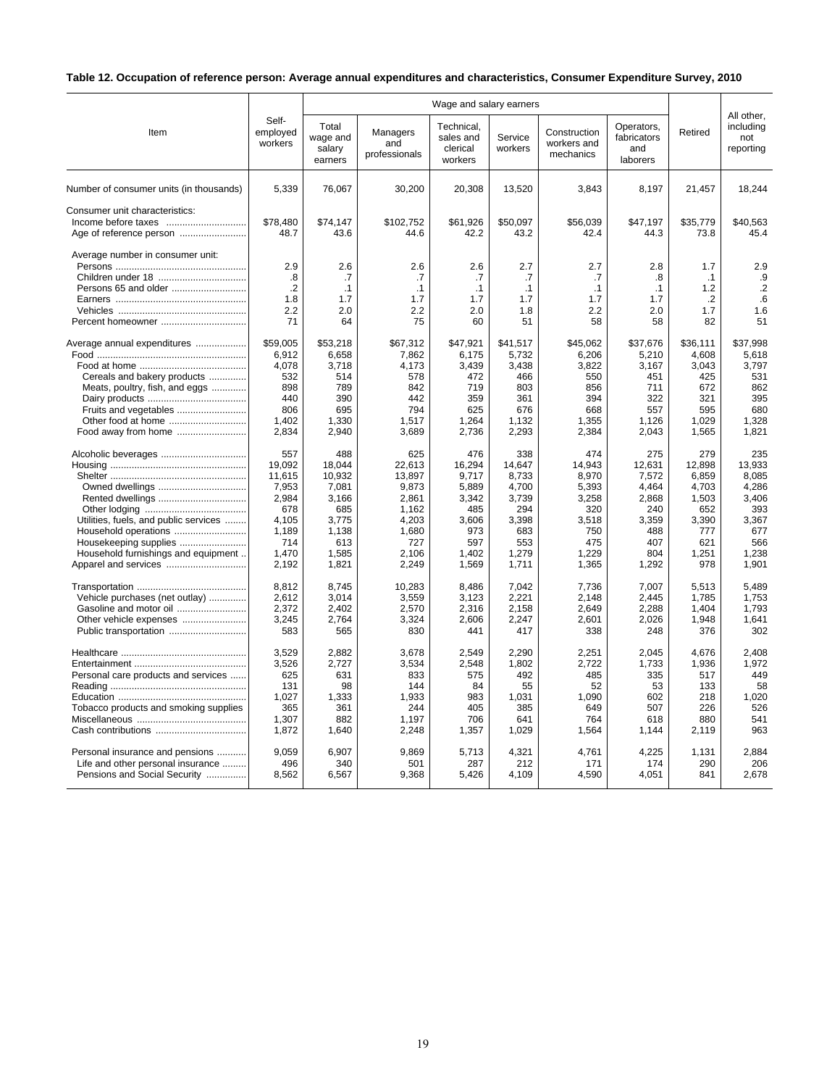# **Table 12. Occupation of reference person: Average annual expenditures and characteristics, Consumer Expenditure Survey, 2010**

|                                                                               | Self-<br>employed<br>workers                | Wage and salary earners                |                                            |                                                |                                            |                                          |                                              |                                            | All other,                              |
|-------------------------------------------------------------------------------|---------------------------------------------|----------------------------------------|--------------------------------------------|------------------------------------------------|--------------------------------------------|------------------------------------------|----------------------------------------------|--------------------------------------------|-----------------------------------------|
| Item                                                                          |                                             | Total<br>wage and<br>salary<br>earners | Managers<br>and<br>professionals           | Technical.<br>sales and<br>clerical<br>workers | Service<br>workers                         | Construction<br>workers and<br>mechanics | Operators.<br>fabricators<br>and<br>laborers | Retired                                    | including<br>not<br>reporting           |
| Number of consumer units (in thousands)                                       | 5,339                                       | 76,067                                 | 30,200                                     | 20,308                                         | 13,520                                     | 3,843                                    | 8,197                                        | 21,457                                     | 18,244                                  |
| Consumer unit characteristics:                                                | \$78,480<br>48.7                            | \$74,147<br>43.6                       | \$102.752<br>44.6                          | \$61,926<br>42.2                               | \$50,097<br>43.2                           | \$56,039<br>42.4                         | \$47,197<br>44.3                             | \$35,779<br>73.8                           | \$40,563<br>45.4                        |
| Average number in consumer unit:<br>Persons 65 and older<br>Percent homeowner | 2.9<br>.8<br>$\cdot$ .2<br>1.8<br>2.2<br>71 | 2.6<br>.7<br>.1<br>1.7<br>2.0<br>64    | 2.6<br>.7<br>$\cdot$ 1<br>1.7<br>2.2<br>75 | 2.6<br>.7<br>$\cdot$ 1<br>1.7<br>2.0<br>60     | 2.7<br>.7<br>$\cdot$ 1<br>1.7<br>1.8<br>51 | 2.7<br>.7<br>.1<br>1.7<br>2.2<br>58      | 2.8<br>.8<br>$\cdot$ 1<br>1.7<br>2.0<br>58   | 1.7<br>$\cdot$ 1<br>1.2<br>.2<br>1.7<br>82 | 2.9<br>.9<br>$\cdot$<br>.6<br>1.6<br>51 |
| Average annual expenditures                                                   | \$59,005                                    | \$53,218                               | \$67,312                                   | \$47,921                                       | \$41,517                                   | \$45,062                                 | \$37,676                                     | \$36,111                                   | \$37,998                                |
|                                                                               | 6,912                                       | 6,658                                  | 7,862                                      | 6,175                                          | 5,732                                      | 6,206                                    | 5,210                                        | 4,608                                      | 5,618                                   |
|                                                                               | 4,078                                       | 3,718                                  | 4,173                                      | 3,439                                          | 3,438                                      | 3,822                                    | 3,167                                        | 3,043                                      | 3,797                                   |
| Cereals and bakery products                                                   | 532                                         | 514                                    | 578                                        | 472                                            | 466                                        | 550                                      | 451                                          | 425                                        | 531                                     |
| Meats, poultry, fish, and eggs                                                | 898                                         | 789                                    | 842                                        | 719                                            | 803                                        | 856                                      | 711                                          | 672                                        | 862                                     |
|                                                                               | 440                                         | 390                                    | 442                                        | 359                                            | 361                                        | 394                                      | 322                                          | 321                                        | 395                                     |
| Fruits and vegetables                                                         | 806                                         | 695                                    | 794                                        | 625                                            | 676                                        | 668                                      | 557                                          | 595                                        | 680                                     |
| Other food at home                                                            | 1,402                                       | 1,330                                  | 1,517                                      | 1,264                                          | 1,132                                      | 1,355                                    | 1,126                                        | 1.029                                      | 1,328                                   |
| Food away from home                                                           | 2,834                                       | 2,940                                  | 3,689                                      | 2,736                                          | 2,293                                      | 2,384                                    | 2,043                                        | 1,565                                      | 1,821                                   |
|                                                                               | 557                                         | 488                                    | 625                                        | 476                                            | 338                                        | 474                                      | 275                                          | 279                                        | 235                                     |
|                                                                               | 19,092                                      | 18,044                                 | 22,613                                     | 16,294                                         | 14,647                                     | 14,943                                   | 12,631                                       | 12,898                                     | 13,933                                  |
|                                                                               | 11.615                                      | 10.932                                 | 13.897                                     | 9.717                                          | 8.733                                      | 8,970                                    | 7.572                                        | 6.859                                      | 8.085                                   |
|                                                                               | 7,953                                       | 7,081                                  | 9,873                                      | 5,889                                          | 4,700                                      | 5,393                                    | 4,464                                        | 4,703                                      | 4,286                                   |
|                                                                               | 2,984                                       | 3,166                                  | 2,861                                      | 3,342                                          | 3,739                                      | 3,258                                    | 2,868                                        | 1,503                                      | 3,406                                   |
|                                                                               | 678                                         | 685                                    | 1,162                                      | 485                                            | 294                                        | 320                                      | 240                                          | 652                                        | 393                                     |
| Utilities, fuels, and public services                                         | 4,105                                       | 3,775                                  | 4,203                                      | 3,606                                          | 3,398                                      | 3,518                                    | 3,359                                        | 3,390                                      | 3,367                                   |
|                                                                               | 1,189                                       | 1,138                                  | 1.680                                      | 973                                            | 683                                        | 750                                      | 488                                          | 777                                        | 677                                     |
| Housekeeping supplies                                                         | 714                                         | 613                                    | 727                                        | 597                                            | 553                                        | 475                                      | 407                                          | 621                                        | 566                                     |
| Household furnishings and equipment                                           | 1,470                                       | 1,585                                  | 2,106                                      | 1,402                                          | 1,279                                      | 1,229                                    | 804                                          | 1,251                                      | 1,238                                   |
|                                                                               | 2,192                                       | 1,821                                  | 2,249                                      | 1,569                                          | 1,711                                      | 1,365                                    | 1,292                                        | 978                                        | 1,901                                   |
|                                                                               | 8,812                                       | 8,745                                  | 10,283                                     | 8,486                                          | 7,042                                      | 7,736                                    | 7,007                                        | 5,513                                      | 5,489                                   |
| Vehicle purchases (net outlay)                                                | 2,612                                       | 3.014                                  | 3,559                                      | 3,123                                          | 2,221                                      | 2.148                                    | 2.445                                        | 1.785                                      | 1,753                                   |
| Gasoline and motor oil                                                        | 2,372                                       | 2,402                                  | 2,570                                      | 2,316                                          | 2,158                                      | 2,649                                    | 2,288                                        | 1,404                                      | 1,793                                   |
| Other vehicle expenses                                                        | 3,245                                       | 2,764                                  | 3,324                                      | 2,606                                          | 2,247                                      | 2,601                                    | 2,026                                        | 1,948                                      | 1.641                                   |
|                                                                               | 583                                         | 565                                    | 830                                        | 441                                            | 417                                        | 338                                      | 248                                          | 376                                        | 302                                     |
|                                                                               | 3,529                                       | 2,882                                  | 3,678                                      | 2,549                                          | 2,290                                      | 2,251                                    | 2,045                                        | 4,676                                      | 2,408                                   |
|                                                                               | 3,526                                       | 2,727                                  | 3,534                                      | 2,548                                          | 1,802                                      | 2,722                                    | 1,733                                        | 1,936                                      | 1,972                                   |
| Personal care products and services                                           | 625                                         | 631                                    | 833                                        | 575                                            | 492                                        | 485                                      | 335                                          | 517                                        | 449                                     |
|                                                                               | 131                                         | 98                                     | 144                                        | 84                                             | 55                                         | 52                                       | 53                                           | 133                                        | 58                                      |
|                                                                               | 1,027                                       | 1,333                                  | 1,933                                      | 983                                            | 1,031                                      | 1,090                                    | 602                                          | 218                                        | 1,020                                   |
| Tobacco products and smoking supplies                                         | 365                                         | 361                                    | 244                                        | 405                                            | 385                                        | 649                                      | 507                                          | 226                                        | 526                                     |
|                                                                               | 1,307                                       | 882                                    | 1,197                                      | 706                                            | 641                                        | 764                                      | 618                                          | 880                                        | 541                                     |
|                                                                               | 1,872                                       | 1,640                                  | 2,248                                      | 1,357                                          | 1,029                                      | 1,564                                    | 1,144                                        | 2,119                                      | 963                                     |
| Personal insurance and pensions                                               | 9,059                                       | 6,907                                  | 9,869                                      | 5,713                                          | 4,321                                      | 4,761                                    | 4,225                                        | 1,131                                      | 2,884                                   |
| Life and other personal insurance                                             | 496                                         | 340                                    | 501                                        | 287                                            | 212                                        | 171                                      | 174                                          | 290                                        | 206                                     |
| Pensions and Social Security                                                  | 8,562                                       | 6,567                                  | 9,368                                      | 5,426                                          | 4,109                                      | 4,590                                    | 4.051                                        | 841                                        | 2.678                                   |